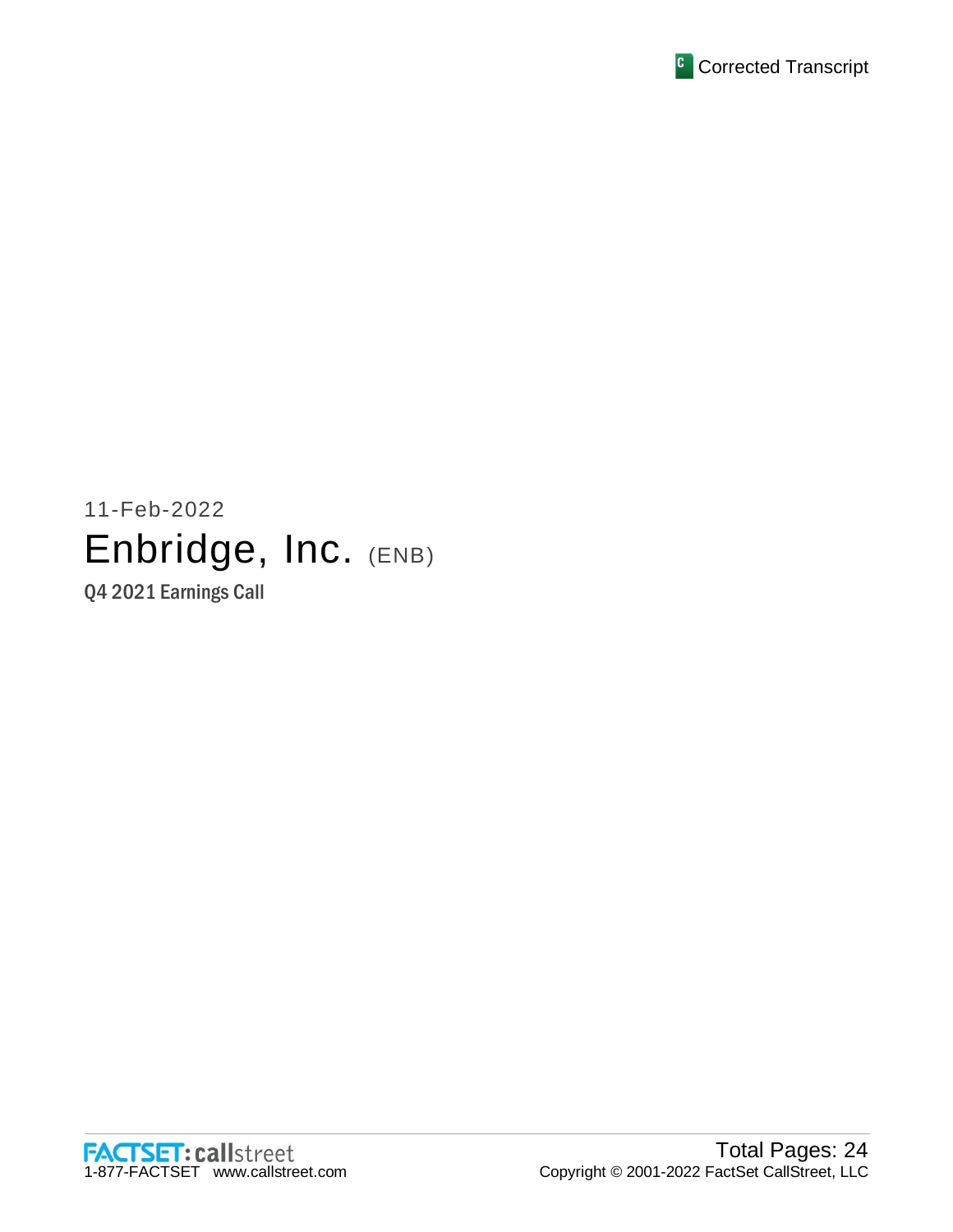

11-Feb-2022 Enbridge, Inc. (ENB) Q4 2021 Earnings Call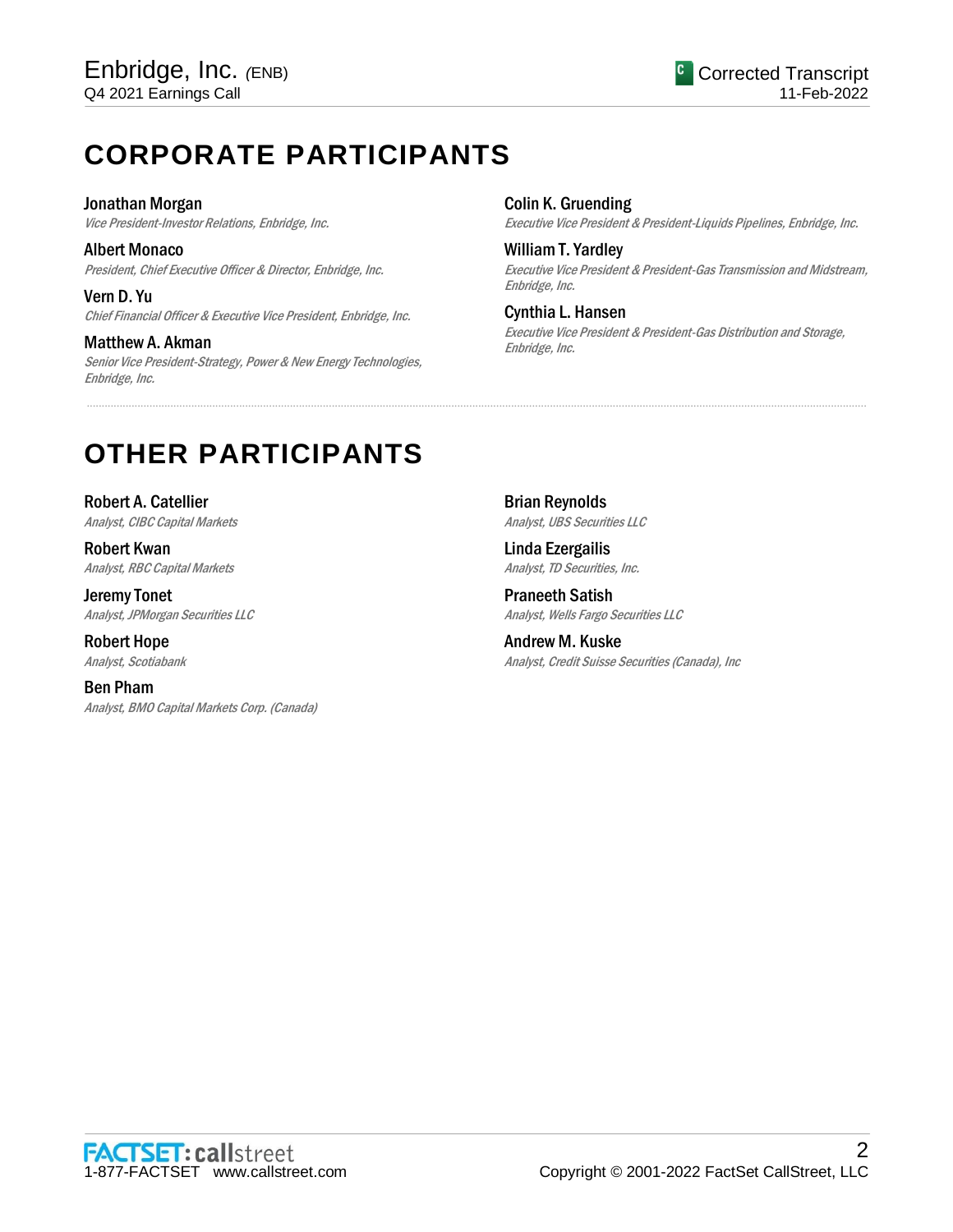# **CORPORATE PARTICIPANTS**

#### Jonathan Morgan

Vice President-Investor Relations, Enbridge, Inc.

Albert Monaco President, Chief Executive Officer & Director, Enbridge, Inc.

Vern D. Yu Chief Financial Officer & Executive Vice President, Enbridge, Inc.

Matthew A. Akman Senior Vice President-Strategy, Power & New Energy Technologies, Enbridge, Inc.

Colin K. Gruending Executive Vice President & President-Liquids Pipelines, Enbridge, Inc.

William T. Yardley Executive Vice President & President-Gas Transmission and Midstream, Enbridge, Inc.

Cynthia L. Hansen Executive Vice President & President-Gas Distribution and Storage, Enbridge, Inc.

# **OTHER PARTICIPANTS**

Robert A. Catellier Analyst, CIBC Capital Markets

Robert Kwan Analyst, RBC Capital Markets

Jeremy Tonet Analyst, JPMorgan Securities LLC

Robert Hope Analyst, Scotiabank

Ben Pham Analyst, BMO Capital Markets Corp. (Canada) Brian Reynolds Analyst, UBS Securities LLC

.....................................................................................................................................................................................................................................................................

Linda Ezergailis Analyst, TD Securities, Inc.

Praneeth Satish Analyst, Wells Fargo Securities LLC

Andrew M. Kuske Analyst, Credit Suisse Securities (Canada), Inc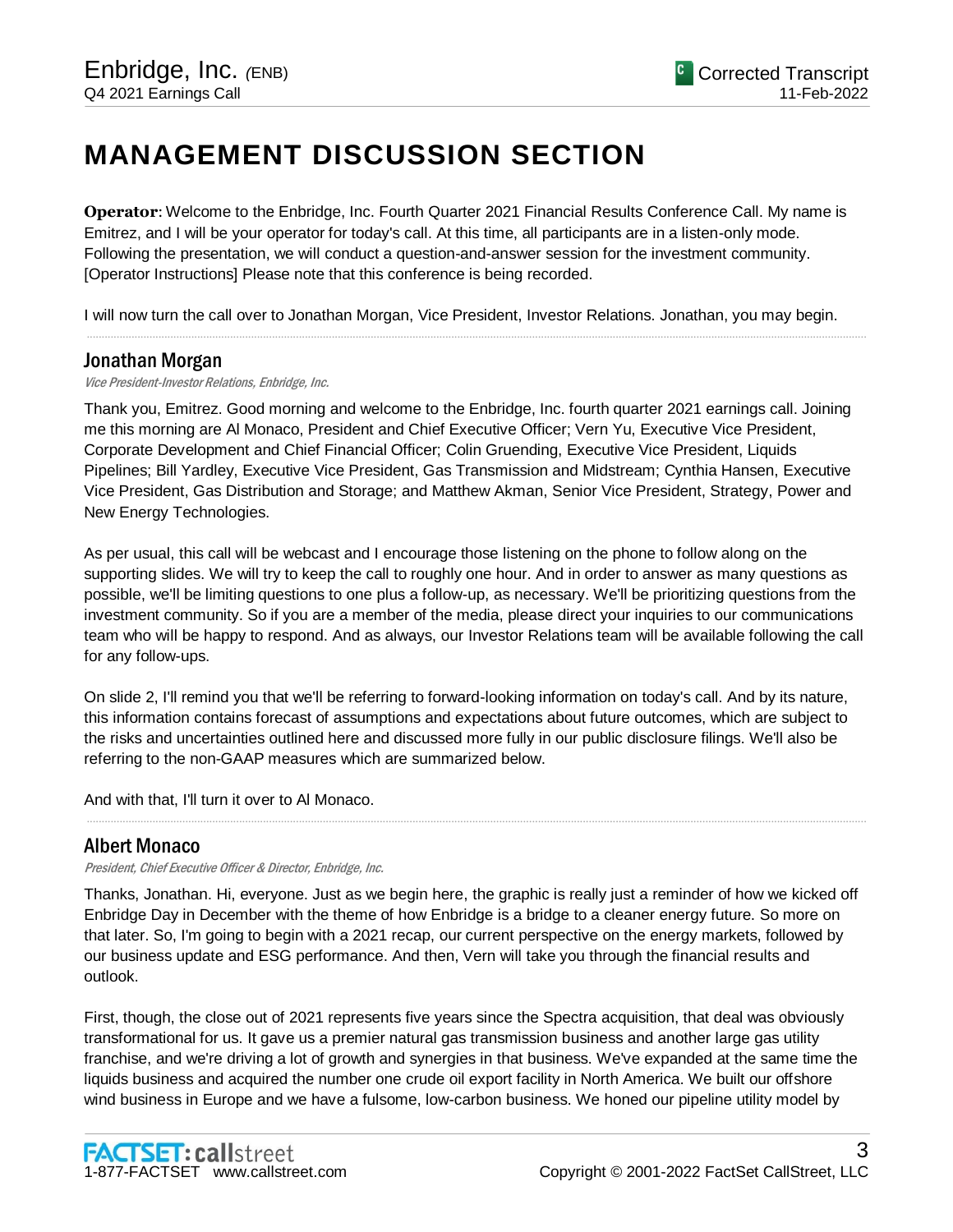# **MANAGEMENT DISCUSSION SECTION**

**Operator**: Welcome to the Enbridge, Inc. Fourth Quarter 2021 Financial Results Conference Call. My name is Emitrez, and I will be your operator for today's call. At this time, all participants are in a listen-only mode. Following the presentation, we will conduct a question-and-answer session for the investment community. [Operator Instructions] Please note that this conference is being recorded.

I will now turn the call over to Jonathan Morgan, Vice President, Investor Relations. Jonathan, you may begin.

.....................................................................................................................................................................................................................................................................

## Jonathan Morgan

Vice President-Investor Relations, Enbridge, Inc.

Thank you, Emitrez. Good morning and welcome to the Enbridge, Inc. fourth quarter 2021 earnings call. Joining me this morning are Al Monaco, President and Chief Executive Officer; Vern Yu, Executive Vice President, Corporate Development and Chief Financial Officer; Colin Gruending, Executive Vice President, Liquids Pipelines; Bill Yardley, Executive Vice President, Gas Transmission and Midstream; Cynthia Hansen, Executive Vice President, Gas Distribution and Storage; and Matthew Akman, Senior Vice President, Strategy, Power and New Energy Technologies.

As per usual, this call will be webcast and I encourage those listening on the phone to follow along on the supporting slides. We will try to keep the call to roughly one hour. And in order to answer as many questions as possible, we'll be limiting questions to one plus a follow-up, as necessary. We'll be prioritizing questions from the investment community. So if you are a member of the media, please direct your inquiries to our communications team who will be happy to respond. And as always, our Investor Relations team will be available following the call for any follow-ups.

On slide 2, I'll remind you that we'll be referring to forward-looking information on today's call. And by its nature, this information contains forecast of assumptions and expectations about future outcomes, which are subject to the risks and uncertainties outlined here and discussed more fully in our public disclosure filings. We'll also be referring to the non-GAAP measures which are summarized below.

And with that, I'll turn it over to Al Monaco.

## Albert Monaco

President, Chief Executive Officer & Director, Enbridge, Inc.

Thanks, Jonathan. Hi, everyone. Just as we begin here, the graphic is really just a reminder of how we kicked off Enbridge Day in December with the theme of how Enbridge is a bridge to a cleaner energy future. So more on that later. So, I'm going to begin with a 2021 recap, our current perspective on the energy markets, followed by our business update and ESG performance. And then, Vern will take you through the financial results and outlook.

.....................................................................................................................................................................................................................................................................

First, though, the close out of 2021 represents five years since the Spectra acquisition, that deal was obviously transformational for us. It gave us a premier natural gas transmission business and another large gas utility franchise, and we're driving a lot of growth and synergies in that business. We've expanded at the same time the liquids business and acquired the number one crude oil export facility in North America. We built our offshore wind business in Europe and we have a fulsome, low-carbon business. We honed our pipeline utility model by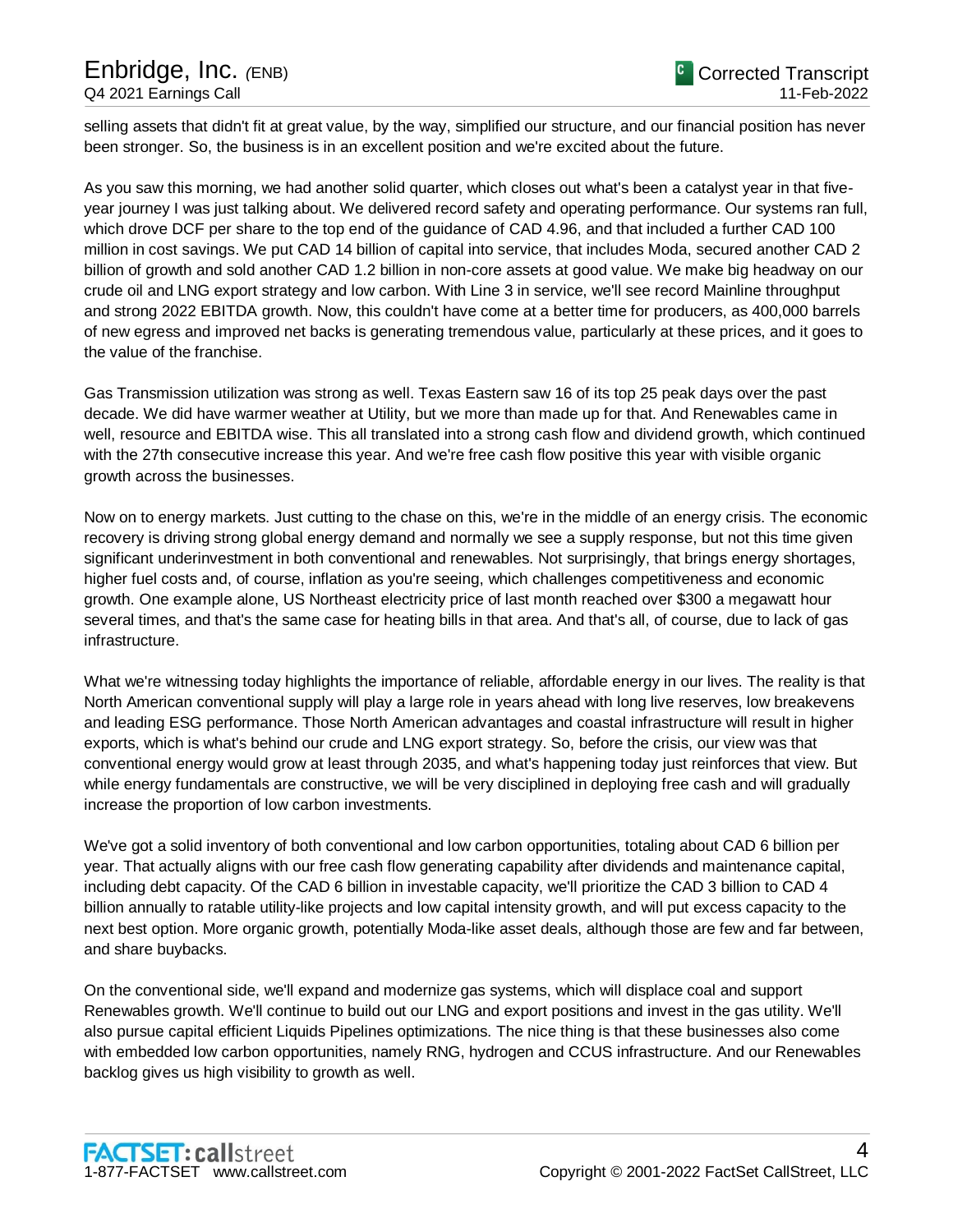selling assets that didn't fit at great value, by the way, simplified our structure, and our financial position has never been stronger. So, the business is in an excellent position and we're excited about the future.

As you saw this morning, we had another solid quarter, which closes out what's been a catalyst year in that fiveyear journey I was just talking about. We delivered record safety and operating performance. Our systems ran full, which drove DCF per share to the top end of the guidance of CAD 4.96, and that included a further CAD 100 million in cost savings. We put CAD 14 billion of capital into service, that includes Moda, secured another CAD 2 billion of growth and sold another CAD 1.2 billion in non-core assets at good value. We make big headway on our crude oil and LNG export strategy and low carbon. With Line 3 in service, we'll see record Mainline throughput and strong 2022 EBITDA growth. Now, this couldn't have come at a better time for producers, as 400,000 barrels of new egress and improved net backs is generating tremendous value, particularly at these prices, and it goes to the value of the franchise.

Gas Transmission utilization was strong as well. Texas Eastern saw 16 of its top 25 peak days over the past decade. We did have warmer weather at Utility, but we more than made up for that. And Renewables came in well, resource and EBITDA wise. This all translated into a strong cash flow and dividend growth, which continued with the 27th consecutive increase this year. And we're free cash flow positive this year with visible organic growth across the businesses.

Now on to energy markets. Just cutting to the chase on this, we're in the middle of an energy crisis. The economic recovery is driving strong global energy demand and normally we see a supply response, but not this time given significant underinvestment in both conventional and renewables. Not surprisingly, that brings energy shortages, higher fuel costs and, of course, inflation as you're seeing, which challenges competitiveness and economic growth. One example alone, US Northeast electricity price of last month reached over \$300 a megawatt hour several times, and that's the same case for heating bills in that area. And that's all, of course, due to lack of gas infrastructure.

What we're witnessing today highlights the importance of reliable, affordable energy in our lives. The reality is that North American conventional supply will play a large role in years ahead with long live reserves, low breakevens and leading ESG performance. Those North American advantages and coastal infrastructure will result in higher exports, which is what's behind our crude and LNG export strategy. So, before the crisis, our view was that conventional energy would grow at least through 2035, and what's happening today just reinforces that view. But while energy fundamentals are constructive, we will be very disciplined in deploying free cash and will gradually increase the proportion of low carbon investments.

We've got a solid inventory of both conventional and low carbon opportunities, totaling about CAD 6 billion per year. That actually aligns with our free cash flow generating capability after dividends and maintenance capital, including debt capacity. Of the CAD 6 billion in investable capacity, we'll prioritize the CAD 3 billion to CAD 4 billion annually to ratable utility-like projects and low capital intensity growth, and will put excess capacity to the next best option. More organic growth, potentially Moda-like asset deals, although those are few and far between, and share buybacks.

On the conventional side, we'll expand and modernize gas systems, which will displace coal and support Renewables growth. We'll continue to build out our LNG and export positions and invest in the gas utility. We'll also pursue capital efficient Liquids Pipelines optimizations. The nice thing is that these businesses also come with embedded low carbon opportunities, namely RNG, hydrogen and CCUS infrastructure. And our Renewables backlog gives us high visibility to growth as well.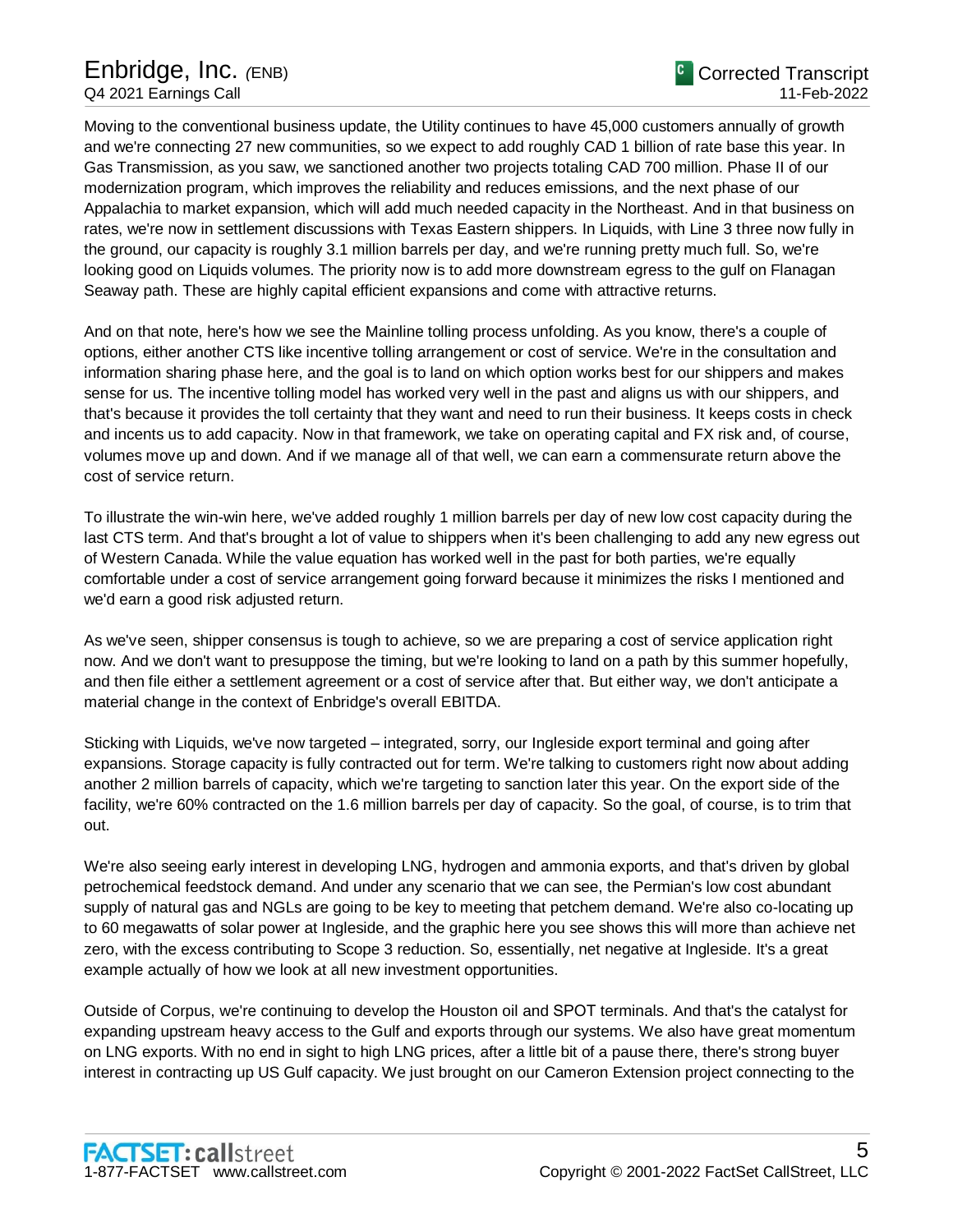Moving to the conventional business update, the Utility continues to have 45,000 customers annually of growth and we're connecting 27 new communities, so we expect to add roughly CAD 1 billion of rate base this year. In Gas Transmission, as you saw, we sanctioned another two projects totaling CAD 700 million. Phase II of our modernization program, which improves the reliability and reduces emissions, and the next phase of our Appalachia to market expansion, which will add much needed capacity in the Northeast. And in that business on rates, we're now in settlement discussions with Texas Eastern shippers. In Liquids, with Line 3 three now fully in the ground, our capacity is roughly 3.1 million barrels per day, and we're running pretty much full. So, we're looking good on Liquids volumes. The priority now is to add more downstream egress to the gulf on Flanagan Seaway path. These are highly capital efficient expansions and come with attractive returns.

And on that note, here's how we see the Mainline tolling process unfolding. As you know, there's a couple of options, either another CTS like incentive tolling arrangement or cost of service. We're in the consultation and information sharing phase here, and the goal is to land on which option works best for our shippers and makes sense for us. The incentive tolling model has worked very well in the past and aligns us with our shippers, and that's because it provides the toll certainty that they want and need to run their business. It keeps costs in check and incents us to add capacity. Now in that framework, we take on operating capital and FX risk and, of course, volumes move up and down. And if we manage all of that well, we can earn a commensurate return above the cost of service return.

To illustrate the win-win here, we've added roughly 1 million barrels per day of new low cost capacity during the last CTS term. And that's brought a lot of value to shippers when it's been challenging to add any new egress out of Western Canada. While the value equation has worked well in the past for both parties, we're equally comfortable under a cost of service arrangement going forward because it minimizes the risks I mentioned and we'd earn a good risk adjusted return.

As we've seen, shipper consensus is tough to achieve, so we are preparing a cost of service application right now. And we don't want to presuppose the timing, but we're looking to land on a path by this summer hopefully, and then file either a settlement agreement or a cost of service after that. But either way, we don't anticipate a material change in the context of Enbridge's overall EBITDA.

Sticking with Liquids, we've now targeted – integrated, sorry, our Ingleside export terminal and going after expansions. Storage capacity is fully contracted out for term. We're talking to customers right now about adding another 2 million barrels of capacity, which we're targeting to sanction later this year. On the export side of the facility, we're 60% contracted on the 1.6 million barrels per day of capacity. So the goal, of course, is to trim that out.

We're also seeing early interest in developing LNG, hydrogen and ammonia exports, and that's driven by global petrochemical feedstock demand. And under any scenario that we can see, the Permian's low cost abundant supply of natural gas and NGLs are going to be key to meeting that petchem demand. We're also co-locating up to 60 megawatts of solar power at Ingleside, and the graphic here you see shows this will more than achieve net zero, with the excess contributing to Scope 3 reduction. So, essentially, net negative at Ingleside. It's a great example actually of how we look at all new investment opportunities.

Outside of Corpus, we're continuing to develop the Houston oil and SPOT terminals. And that's the catalyst for expanding upstream heavy access to the Gulf and exports through our systems. We also have great momentum on LNG exports. With no end in sight to high LNG prices, after a little bit of a pause there, there's strong buyer interest in contracting up US Gulf capacity. We just brought on our Cameron Extension project connecting to the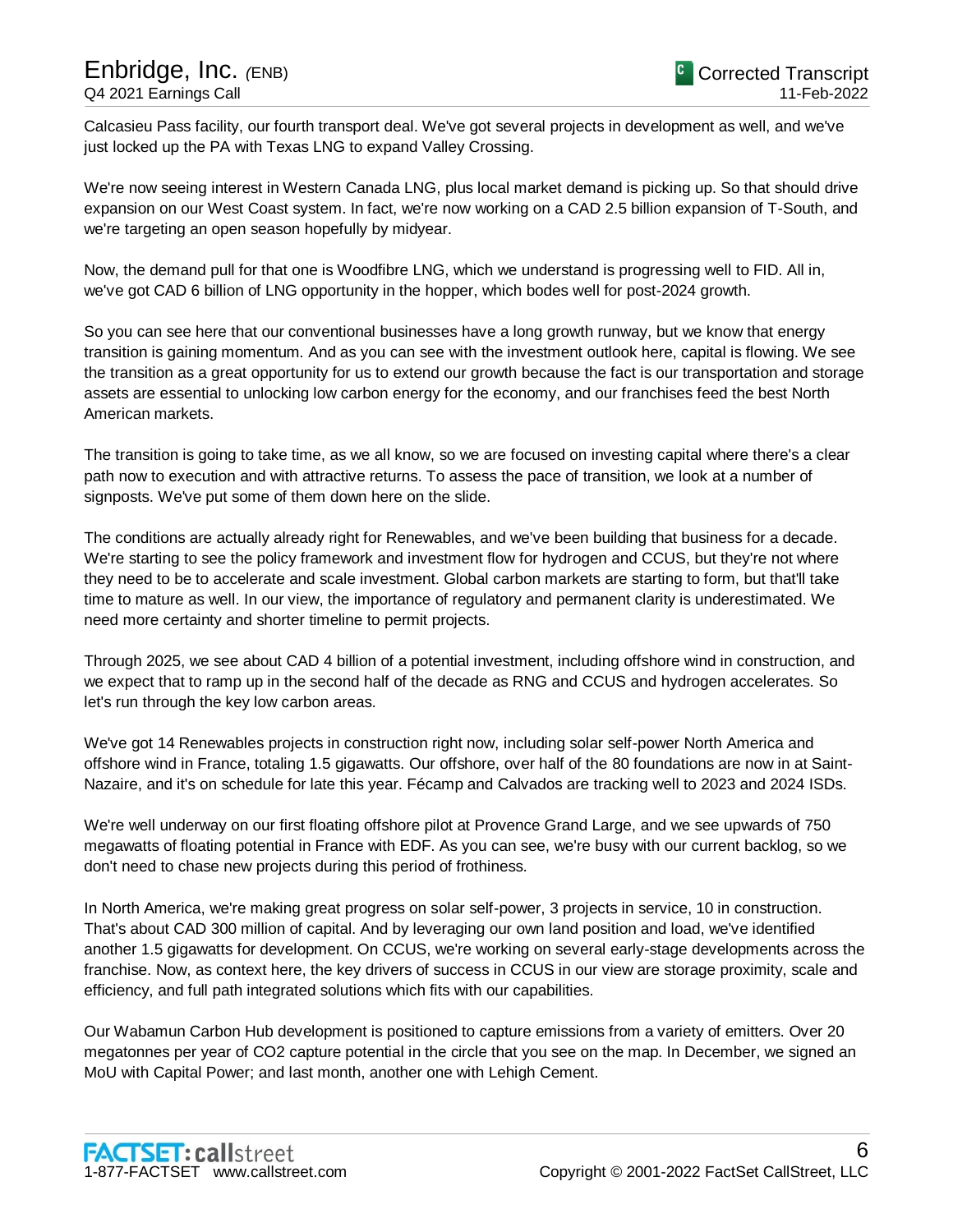# Enbridge, Inc. *(*ENB) Q4 2021 Earnings Call

Calcasieu Pass facility, our fourth transport deal. We've got several projects in development as well, and we've just locked up the PA with Texas LNG to expand Valley Crossing.

We're now seeing interest in Western Canada LNG, plus local market demand is picking up. So that should drive expansion on our West Coast system. In fact, we're now working on a CAD 2.5 billion expansion of T-South, and we're targeting an open season hopefully by midyear.

Now, the demand pull for that one is Woodfibre LNG, which we understand is progressing well to FID. All in, we've got CAD 6 billion of LNG opportunity in the hopper, which bodes well for post-2024 growth.

So you can see here that our conventional businesses have a long growth runway, but we know that energy transition is gaining momentum. And as you can see with the investment outlook here, capital is flowing. We see the transition as a great opportunity for us to extend our growth because the fact is our transportation and storage assets are essential to unlocking low carbon energy for the economy, and our franchises feed the best North American markets.

The transition is going to take time, as we all know, so we are focused on investing capital where there's a clear path now to execution and with attractive returns. To assess the pace of transition, we look at a number of signposts. We've put some of them down here on the slide.

The conditions are actually already right for Renewables, and we've been building that business for a decade. We're starting to see the policy framework and investment flow for hydrogen and CCUS, but they're not where they need to be to accelerate and scale investment. Global carbon markets are starting to form, but that'll take time to mature as well. In our view, the importance of regulatory and permanent clarity is underestimated. We need more certainty and shorter timeline to permit projects.

Through 2025, we see about CAD 4 billion of a potential investment, including offshore wind in construction, and we expect that to ramp up in the second half of the decade as RNG and CCUS and hydrogen accelerates. So let's run through the key low carbon areas.

We've got 14 Renewables projects in construction right now, including solar self-power North America and offshore wind in France, totaling 1.5 gigawatts. Our offshore, over half of the 80 foundations are now in at Saint-Nazaire, and it's on schedule for late this year. Fécamp and Calvados are tracking well to 2023 and 2024 ISDs.

We're well underway on our first floating offshore pilot at Provence Grand Large, and we see upwards of 750 megawatts of floating potential in France with EDF. As you can see, we're busy with our current backlog, so we don't need to chase new projects during this period of frothiness.

In North America, we're making great progress on solar self-power, 3 projects in service, 10 in construction. That's about CAD 300 million of capital. And by leveraging our own land position and load, we've identified another 1.5 gigawatts for development. On CCUS, we're working on several early-stage developments across the franchise. Now, as context here, the key drivers of success in CCUS in our view are storage proximity, scale and efficiency, and full path integrated solutions which fits with our capabilities.

Our Wabamun Carbon Hub development is positioned to capture emissions from a variety of emitters. Over 20 megatonnes per year of CO2 capture potential in the circle that you see on the map. In December, we signed an MoU with Capital Power; and last month, another one with Lehigh Cement.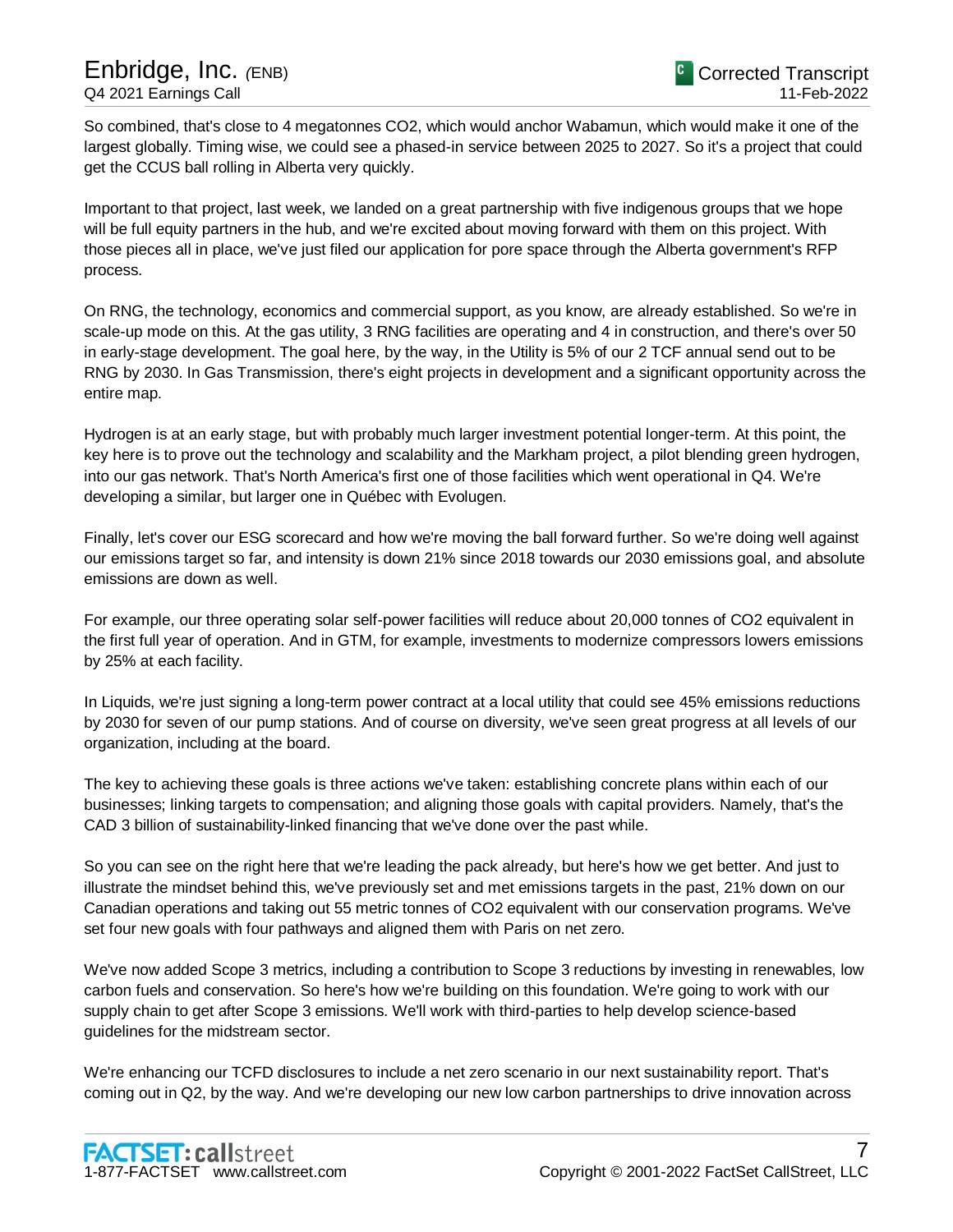So combined, that's close to 4 megatonnes CO2, which would anchor Wabamun, which would make it one of the largest globally. Timing wise, we could see a phased-in service between 2025 to 2027. So it's a project that could get the CCUS ball rolling in Alberta very quickly.

Important to that project, last week, we landed on a great partnership with five indigenous groups that we hope will be full equity partners in the hub, and we're excited about moving forward with them on this project. With those pieces all in place, we've just filed our application for pore space through the Alberta government's RFP process.

On RNG, the technology, economics and commercial support, as you know, are already established. So we're in scale-up mode on this. At the gas utility, 3 RNG facilities are operating and 4 in construction, and there's over 50 in early-stage development. The goal here, by the way, in the Utility is 5% of our 2 TCF annual send out to be RNG by 2030. In Gas Transmission, there's eight projects in development and a significant opportunity across the entire map.

Hydrogen is at an early stage, but with probably much larger investment potential longer-term. At this point, the key here is to prove out the technology and scalability and the Markham project, a pilot blending green hydrogen, into our gas network. That's North America's first one of those facilities which went operational in Q4. We're developing a similar, but larger one in Québec with Evolugen.

Finally, let's cover our ESG scorecard and how we're moving the ball forward further. So we're doing well against our emissions target so far, and intensity is down 21% since 2018 towards our 2030 emissions goal, and absolute emissions are down as well.

For example, our three operating solar self-power facilities will reduce about 20,000 tonnes of CO2 equivalent in the first full year of operation. And in GTM, for example, investments to modernize compressors lowers emissions by 25% at each facility.

In Liquids, we're just signing a long-term power contract at a local utility that could see 45% emissions reductions by 2030 for seven of our pump stations. And of course on diversity, we've seen great progress at all levels of our organization, including at the board.

The key to achieving these goals is three actions we've taken: establishing concrete plans within each of our businesses; linking targets to compensation; and aligning those goals with capital providers. Namely, that's the CAD 3 billion of sustainability-linked financing that we've done over the past while.

So you can see on the right here that we're leading the pack already, but here's how we get better. And just to illustrate the mindset behind this, we've previously set and met emissions targets in the past, 21% down on our Canadian operations and taking out 55 metric tonnes of CO2 equivalent with our conservation programs. We've set four new goals with four pathways and aligned them with Paris on net zero.

We've now added Scope 3 metrics, including a contribution to Scope 3 reductions by investing in renewables, low carbon fuels and conservation. So here's how we're building on this foundation. We're going to work with our supply chain to get after Scope 3 emissions. We'll work with third-parties to help develop science-based guidelines for the midstream sector.

We're enhancing our TCFD disclosures to include a net zero scenario in our next sustainability report. That's coming out in Q2, by the way. And we're developing our new low carbon partnerships to drive innovation across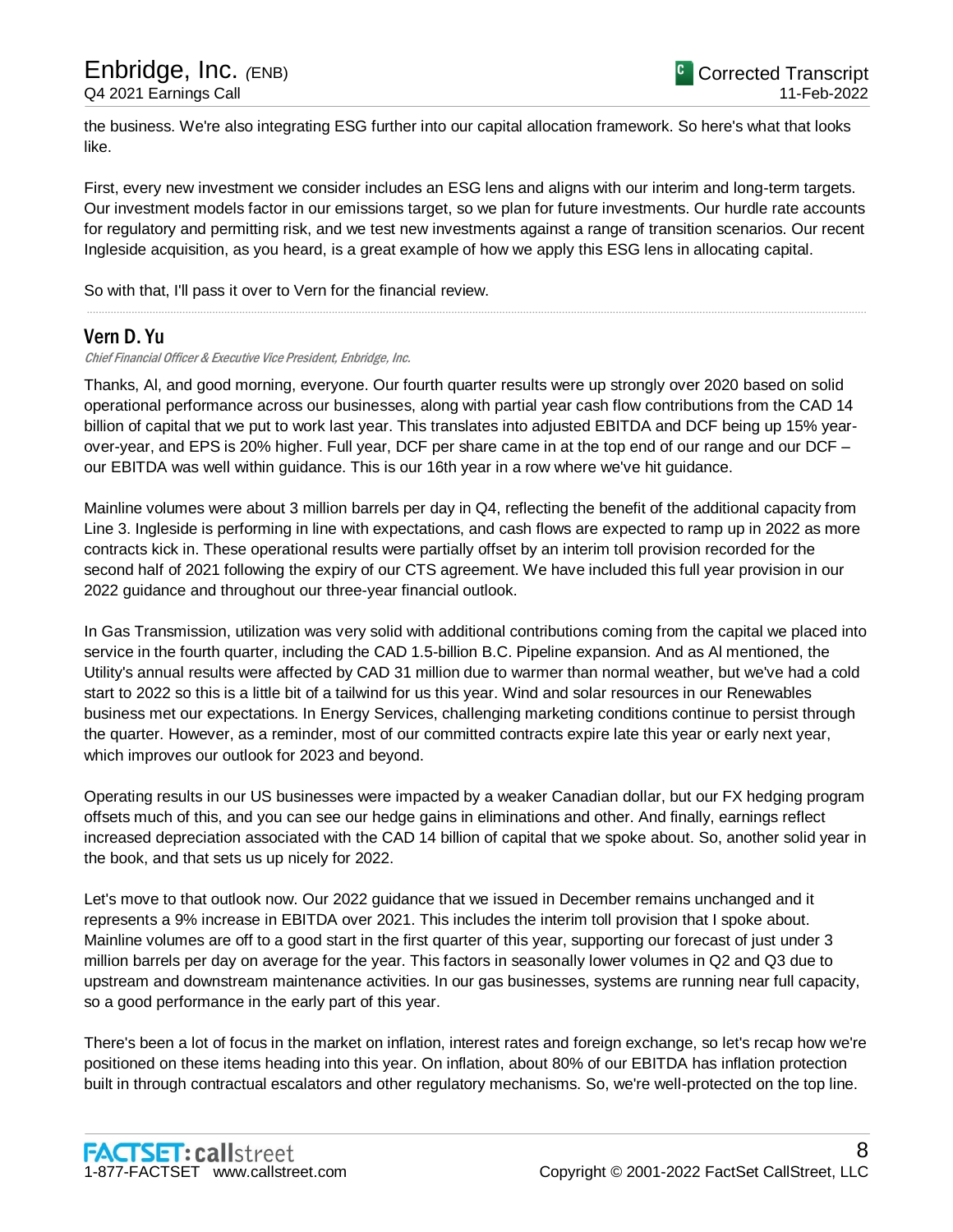the business. We're also integrating ESG further into our capital allocation framework. So here's what that looks like.

First, every new investment we consider includes an ESG lens and aligns with our interim and long-term targets. Our investment models factor in our emissions target, so we plan for future investments. Our hurdle rate accounts for regulatory and permitting risk, and we test new investments against a range of transition scenarios. Our recent Ingleside acquisition, as you heard, is a great example of how we apply this ESG lens in allocating capital.

.....................................................................................................................................................................................................................................................................

So with that, I'll pass it over to Vern for the financial review.

## Vern D. Yu

Chief Financial Officer & Executive Vice President, Enbridge, Inc.

Thanks, Al, and good morning, everyone. Our fourth quarter results were up strongly over 2020 based on solid operational performance across our businesses, along with partial year cash flow contributions from the CAD 14 billion of capital that we put to work last year. This translates into adjusted EBITDA and DCF being up 15% yearover-year, and EPS is 20% higher. Full year, DCF per share came in at the top end of our range and our DCF – our EBITDA was well within guidance. This is our 16th year in a row where we've hit guidance.

Mainline volumes were about 3 million barrels per day in Q4, reflecting the benefit of the additional capacity from Line 3. Ingleside is performing in line with expectations, and cash flows are expected to ramp up in 2022 as more contracts kick in. These operational results were partially offset by an interim toll provision recorded for the second half of 2021 following the expiry of our CTS agreement. We have included this full year provision in our 2022 guidance and throughout our three-year financial outlook.

In Gas Transmission, utilization was very solid with additional contributions coming from the capital we placed into service in the fourth quarter, including the CAD 1.5-billion B.C. Pipeline expansion. And as Al mentioned, the Utility's annual results were affected by CAD 31 million due to warmer than normal weather, but we've had a cold start to 2022 so this is a little bit of a tailwind for us this year. Wind and solar resources in our Renewables business met our expectations. In Energy Services, challenging marketing conditions continue to persist through the quarter. However, as a reminder, most of our committed contracts expire late this year or early next year, which improves our outlook for 2023 and beyond.

Operating results in our US businesses were impacted by a weaker Canadian dollar, but our FX hedging program offsets much of this, and you can see our hedge gains in eliminations and other. And finally, earnings reflect increased depreciation associated with the CAD 14 billion of capital that we spoke about. So, another solid year in the book, and that sets us up nicely for 2022.

Let's move to that outlook now. Our 2022 guidance that we issued in December remains unchanged and it represents a 9% increase in EBITDA over 2021. This includes the interim toll provision that I spoke about. Mainline volumes are off to a good start in the first quarter of this year, supporting our forecast of just under 3 million barrels per day on average for the year. This factors in seasonally lower volumes in Q2 and Q3 due to upstream and downstream maintenance activities. In our gas businesses, systems are running near full capacity, so a good performance in the early part of this year.

There's been a lot of focus in the market on inflation, interest rates and foreign exchange, so let's recap how we're positioned on these items heading into this year. On inflation, about 80% of our EBITDA has inflation protection built in through contractual escalators and other regulatory mechanisms. So, we're well-protected on the top line.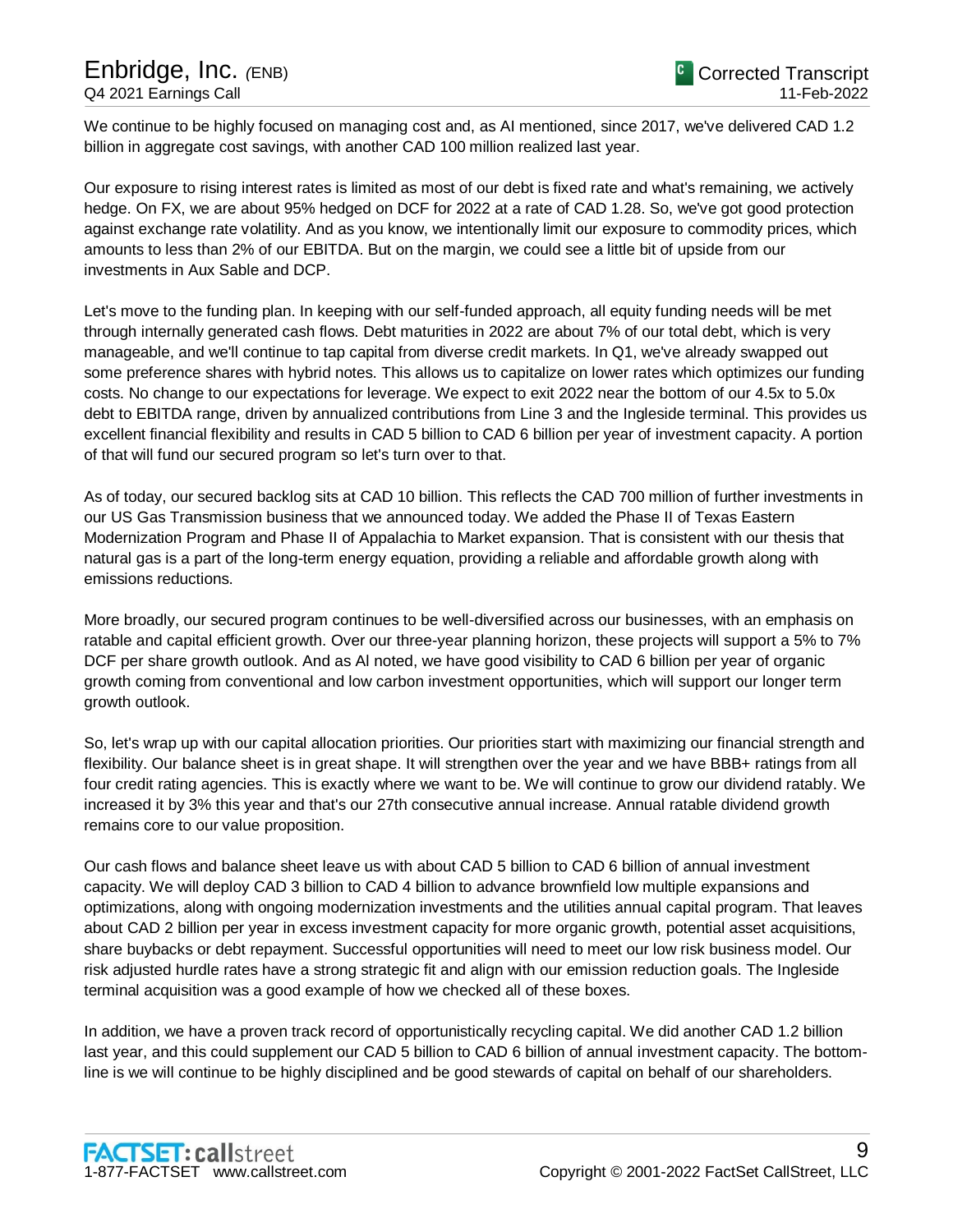We continue to be highly focused on managing cost and, as AI mentioned, since 2017, we've delivered CAD 1.2 billion in aggregate cost savings, with another CAD 100 million realized last year.

Our exposure to rising interest rates is limited as most of our debt is fixed rate and what's remaining, we actively hedge. On FX, we are about 95% hedged on DCF for 2022 at a rate of CAD 1.28. So, we've got good protection against exchange rate volatility. And as you know, we intentionally limit our exposure to commodity prices, which amounts to less than 2% of our EBITDA. But on the margin, we could see a little bit of upside from our investments in Aux Sable and DCP.

Let's move to the funding plan. In keeping with our self-funded approach, all equity funding needs will be met through internally generated cash flows. Debt maturities in 2022 are about 7% of our total debt, which is very manageable, and we'll continue to tap capital from diverse credit markets. In Q1, we've already swapped out some preference shares with hybrid notes. This allows us to capitalize on lower rates which optimizes our funding costs. No change to our expectations for leverage. We expect to exit 2022 near the bottom of our 4.5x to 5.0x debt to EBITDA range, driven by annualized contributions from Line 3 and the Ingleside terminal. This provides us excellent financial flexibility and results in CAD 5 billion to CAD 6 billion per year of investment capacity. A portion of that will fund our secured program so let's turn over to that.

As of today, our secured backlog sits at CAD 10 billion. This reflects the CAD 700 million of further investments in our US Gas Transmission business that we announced today. We added the Phase II of Texas Eastern Modernization Program and Phase II of Appalachia to Market expansion. That is consistent with our thesis that natural gas is a part of the long-term energy equation, providing a reliable and affordable growth along with emissions reductions.

More broadly, our secured program continues to be well-diversified across our businesses, with an emphasis on ratable and capital efficient growth. Over our three-year planning horizon, these projects will support a 5% to 7% DCF per share growth outlook. And as Al noted, we have good visibility to CAD 6 billion per year of organic growth coming from conventional and low carbon investment opportunities, which will support our longer term growth outlook.

So, let's wrap up with our capital allocation priorities. Our priorities start with maximizing our financial strength and flexibility. Our balance sheet is in great shape. It will strengthen over the year and we have BBB+ ratings from all four credit rating agencies. This is exactly where we want to be. We will continue to grow our dividend ratably. We increased it by 3% this year and that's our 27th consecutive annual increase. Annual ratable dividend growth remains core to our value proposition.

Our cash flows and balance sheet leave us with about CAD 5 billion to CAD 6 billion of annual investment capacity. We will deploy CAD 3 billion to CAD 4 billion to advance brownfield low multiple expansions and optimizations, along with ongoing modernization investments and the utilities annual capital program. That leaves about CAD 2 billion per year in excess investment capacity for more organic growth, potential asset acquisitions, share buybacks or debt repayment. Successful opportunities will need to meet our low risk business model. Our risk adjusted hurdle rates have a strong strategic fit and align with our emission reduction goals. The Ingleside terminal acquisition was a good example of how we checked all of these boxes.

In addition, we have a proven track record of opportunistically recycling capital. We did another CAD 1.2 billion last year, and this could supplement our CAD 5 billion to CAD 6 billion of annual investment capacity. The bottomline is we will continue to be highly disciplined and be good stewards of capital on behalf of our shareholders.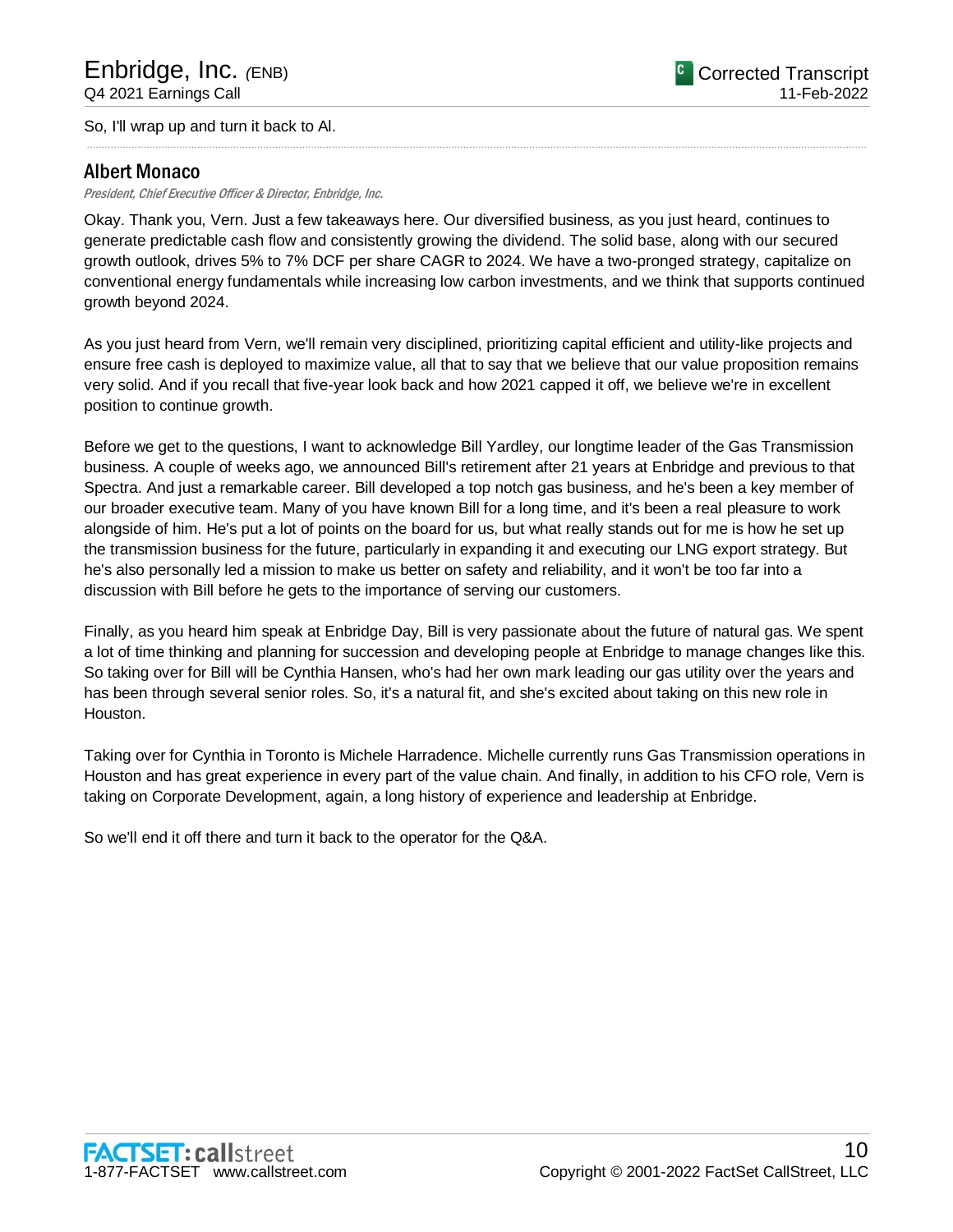So, I'll wrap up and turn it back to Al.

## Albert Monaco

President, Chief Executive Officer & Director, Enbridge, Inc.

Okay. Thank you, Vern. Just a few takeaways here. Our diversified business, as you just heard, continues to generate predictable cash flow and consistently growing the dividend. The solid base, along with our secured growth outlook, drives 5% to 7% DCF per share CAGR to 2024. We have a two-pronged strategy, capitalize on conventional energy fundamentals while increasing low carbon investments, and we think that supports continued growth beyond 2024.

.....................................................................................................................................................................................................................................................................

As you just heard from Vern, we'll remain very disciplined, prioritizing capital efficient and utility-like projects and ensure free cash is deployed to maximize value, all that to say that we believe that our value proposition remains very solid. And if you recall that five-year look back and how 2021 capped it off, we believe we're in excellent position to continue growth.

Before we get to the questions, I want to acknowledge Bill Yardley, our longtime leader of the Gas Transmission business. A couple of weeks ago, we announced Bill's retirement after 21 years at Enbridge and previous to that Spectra. And just a remarkable career. Bill developed a top notch gas business, and he's been a key member of our broader executive team. Many of you have known Bill for a long time, and it's been a real pleasure to work alongside of him. He's put a lot of points on the board for us, but what really stands out for me is how he set up the transmission business for the future, particularly in expanding it and executing our LNG export strategy. But he's also personally led a mission to make us better on safety and reliability, and it won't be too far into a discussion with Bill before he gets to the importance of serving our customers.

Finally, as you heard him speak at Enbridge Day, Bill is very passionate about the future of natural gas. We spent a lot of time thinking and planning for succession and developing people at Enbridge to manage changes like this. So taking over for Bill will be Cynthia Hansen, who's had her own mark leading our gas utility over the years and has been through several senior roles. So, it's a natural fit, and she's excited about taking on this new role in Houston.

Taking over for Cynthia in Toronto is Michele Harradence. Michelle currently runs Gas Transmission operations in Houston and has great experience in every part of the value chain. And finally, in addition to his CFO role, Vern is taking on Corporate Development, again, a long history of experience and leadership at Enbridge.

So we'll end it off there and turn it back to the operator for the Q&A.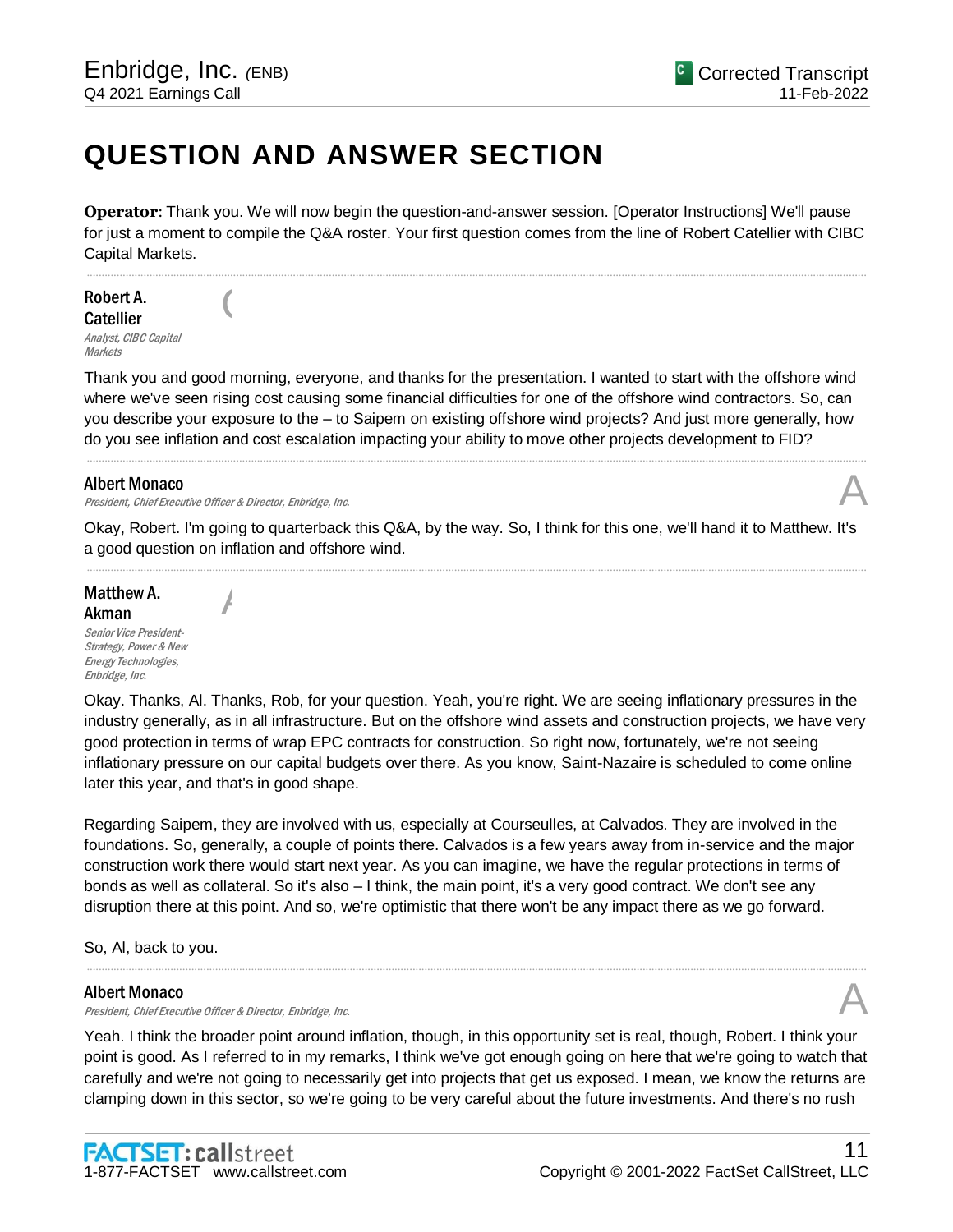# **QUESTION AND ANSWER SECTION**

**Operator**: Thank you. We will now begin the question-and-answer session. [Operator Instructions] We'll pause for just a moment to compile the Q&A roster. Your first question comes from the line of Robert Catellier with CIBC Capital Markets.

.....................................................................................................................................................................................................................................................................

Robert A. **Catellier** Analyst, CIBC Capital **Markets** 

Thank you and good morning, everyone, and thanks for the presentation. I wanted to start with the offshore wind where we've seen rising cost causing some financial difficulties for one of the offshore wind contractors. So, can you describe your exposure to the – to Saipem on existing offshore wind projects? And just more generally, how do you see inflation and cost escalation impacting your ability to move other projects development to FID?

.....................................................................................................................................................................................................................................................................

#### Albert Monaco

President, Chief Executive Officer & Director, Enbridge, Inc.

A

 $\overline{C}$ 

Okay, Robert. I'm going to quarterback this Q&A, by the way. So, I think for this one, we'll hand it to Matthew. It's a good question on inflation and offshore wind. .....................................................................................................................................................................................................................................................................

Matthew A. Akman Senior Vice President-Strategy, Power & New Energy Technologies, Enbridge, Inc.

Okay. Thanks, Al. Thanks, Rob, for your question. Yeah, you're right. We are seeing inflationary pressures in the industry generally, as in all infrastructure. But on the offshore wind assets and construction projects, we have very good protection in terms of wrap EPC contracts for construction. So right now, fortunately, we're not seeing inflationary pressure on our capital budgets over there. As you know, Saint-Nazaire is scheduled to come online later this year, and that's in good shape.

Regarding Saipem, they are involved with us, especially at Courseulles, at Calvados. They are involved in the foundations. So, generally, a couple of points there. Calvados is a few years away from in-service and the major construction work there would start next year. As you can imagine, we have the regular protections in terms of bonds as well as collateral. So it's also – I think, the main point, it's a very good contract. We don't see any disruption there at this point. And so, we're optimistic that there won't be any impact there as we go forward.

So, Al, back to you.

### Albert Monaco

Albert Monaco<br>President, Chief Executive Officer & Director, Enbridge, Inc. And The Content of the Security of the Alberta S

Yeah. I think the broader point around inflation, though, in this opportunity set is real, though, Robert. I think your point is good. As I referred to in my remarks, I think we've got enough going on here that we're going to watch that carefully and we're not going to necessarily get into projects that get us exposed. I mean, we know the returns are clamping down in this sector, so we're going to be very careful about the future investments. And there's no rush

.....................................................................................................................................................................................................................................................................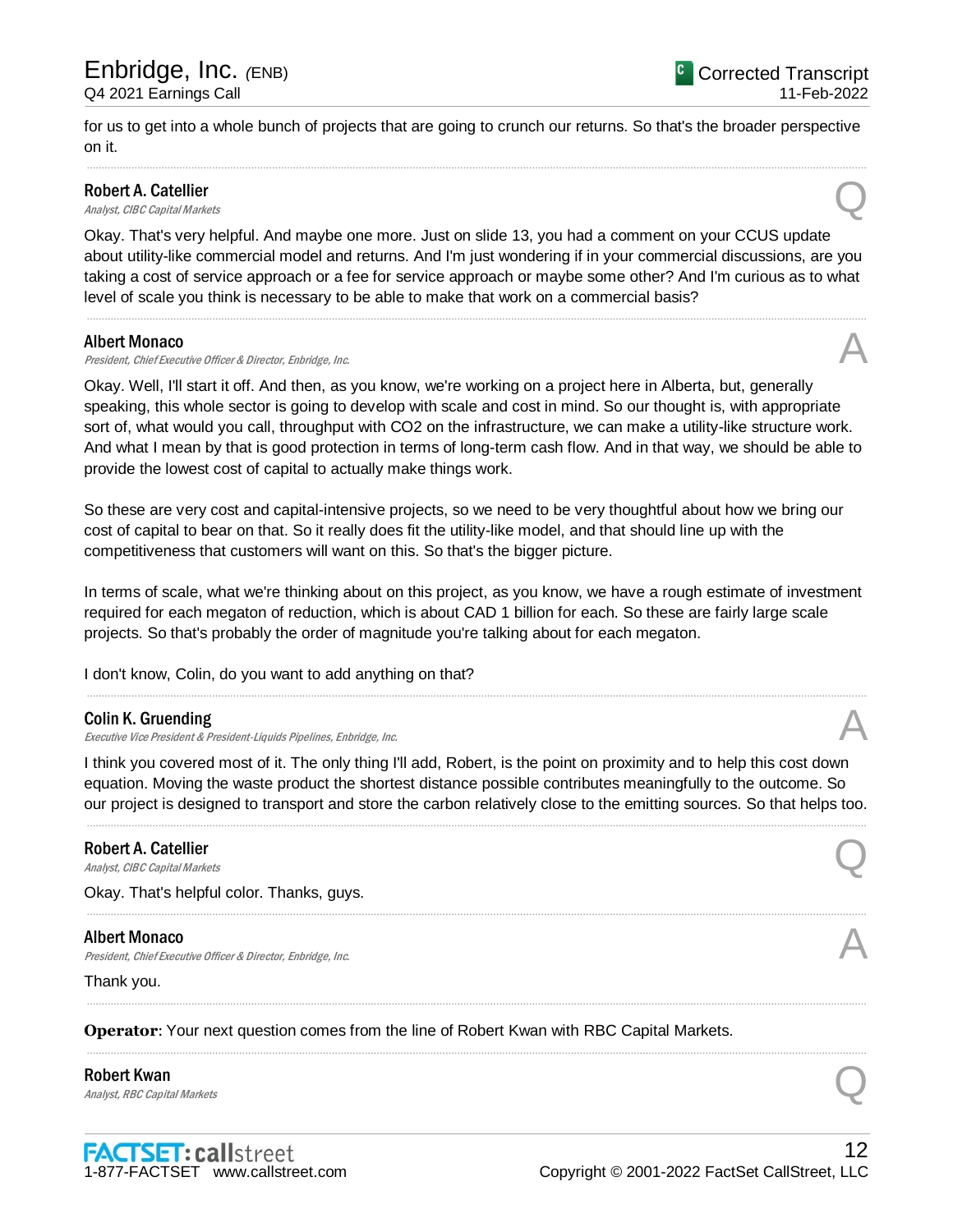for us to get into a whole bunch of projects that are going to crunch our returns. So that's the broader perspective on it. .....................................................................................................................................................................................................................................................................

## Robert A. Catellier **Robert A. Catellier**<br>Analyst, CIBC Capital Markets **Q**

Okay. That's very helpful. And maybe one more. Just on slide 13, you had a comment on your CCUS update about utility-like commercial model and returns. And I'm just wondering if in your commercial discussions, are you taking a cost of service approach or a fee for service approach or maybe some other? And I'm curious as to what level of scale you think is necessary to be able to make that work on a commercial basis?

.....................................................................................................................................................................................................................................................................

#### Albert Monaco

President, Chief Executive Officer & Director, Enbridge, Inc.

Okay. Well, I'll start it off. And then, as you know, we're working on a project here in Alberta, but, generally speaking, this whole sector is going to develop with scale and cost in mind. So our thought is, with appropriate sort of, what would you call, throughput with CO2 on the infrastructure, we can make a utility-like structure work. And what I mean by that is good protection in terms of long-term cash flow. And in that way, we should be able to provide the lowest cost of capital to actually make things work.

So these are very cost and capital-intensive projects, so we need to be very thoughtful about how we bring our cost of capital to bear on that. So it really does fit the utility-like model, and that should line up with the competitiveness that customers will want on this. So that's the bigger picture.

In terms of scale, what we're thinking about on this project, as you know, we have a rough estimate of investment required for each megaton of reduction, which is about CAD 1 billion for each. So these are fairly large scale projects. So that's probably the order of magnitude you're talking about for each megaton.

I don't know, Colin, do you want to add anything on that?

#### Colin K. Gruending

Executive Vice President & President-Liquids Pipelines, Enbridge, Inc.

I think you covered most of it. The only thing I'll add, Robert, is the point on proximity and to help this cost down equation. Moving the waste product the shortest distance possible contributes meaningfully to the outcome. So our project is designed to transport and store the carbon relatively close to the emitting sources. So that helps too.

.....................................................................................................................................................................................................................................................................

.....................................................................................................................................................................................................................................................................

.....................................................................................................................................................................................................................................................................

.....................................................................................................................................................................................................................................................................

.....................................................................................................................................................................................................................................................................

#### Robert A. Catellier

**Robert A. Catellier**<br>Analyst, CIBC Capital Markets **Q** 

Okay. That's helpful color. Thanks, guys.

#### Albert Monaco

Albert Monaco<br>President, Chief Executive Officer & Director, Enbridge, Inc. And The Content of the Security of the Alberta S

Thank you.

**Operator**: Your next question comes from the line of Robert Kwan with RBC Capital Markets.

#### Robert Kwan

**Robert Kwan**<br>Analyst, RBC Capital Markets **Q**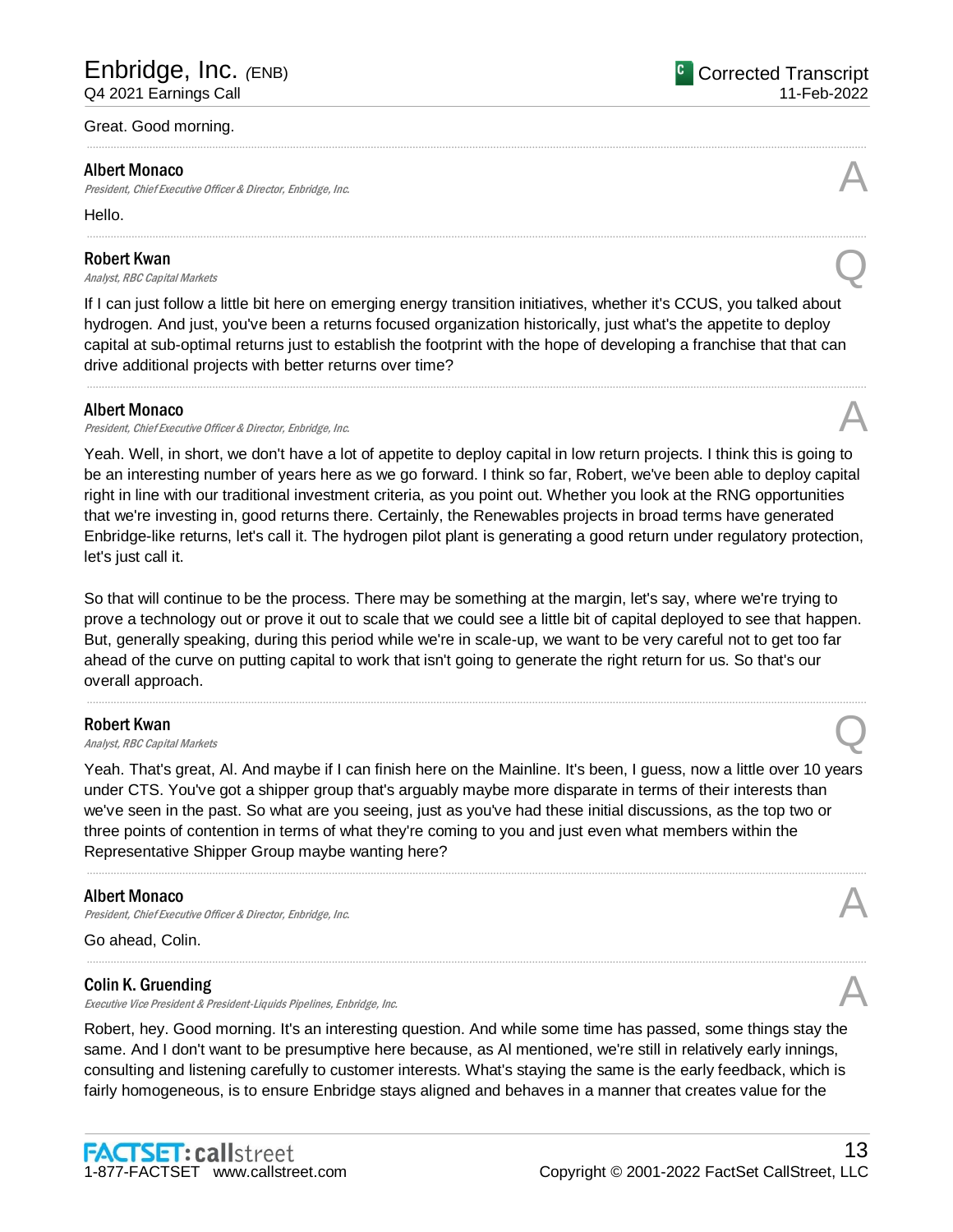#### Great. Good morning.

#### Albert Monaco

Albert Monaco<br>President, Chief Executive Officer & Director, Enbridge, Inc. And The Content of the Security of the Alberta S

Hello.

#### Robert Kwan

**Robert Kwan**<br>Analyst, RBC Capital Markets **Q** 

If I can just follow a little bit here on emerging energy transition initiatives, whether it's CCUS, you talked about hydrogen. And just, you've been a returns focused organization historically, just what's the appetite to deploy capital at sub-optimal returns just to establish the footprint with the hope of developing a franchise that that can drive additional projects with better returns over time?

.....................................................................................................................................................................................................................................................................

.....................................................................................................................................................................................................................................................................

.....................................................................................................................................................................................................................................................................

#### Albert Monaco

President, Chief Executive Officer & Director, Enbridge, Inc.

Yeah. Well, in short, we don't have a lot of appetite to deploy capital in low return projects. I think this is going to be an interesting number of years here as we go forward. I think so far, Robert, we've been able to deploy capital right in line with our traditional investment criteria, as you point out. Whether you look at the RNG opportunities that we're investing in, good returns there. Certainly, the Renewables projects in broad terms have generated Enbridge-like returns, let's call it. The hydrogen pilot plant is generating a good return under regulatory protection, let's just call it.

So that will continue to be the process. There may be something at the margin, let's say, where we're trying to prove a technology out or prove it out to scale that we could see a little bit of capital deployed to see that happen. But, generally speaking, during this period while we're in scale-up, we want to be very careful not to get too far ahead of the curve on putting capital to work that isn't going to generate the right return for us. So that's our overall approach.

.....................................................................................................................................................................................................................................................................

#### Robert Kwan

**Robert Kwan**<br>Analyst, RBC Capital Markets **Q** 

Yeah. That's great, Al. And maybe if I can finish here on the Mainline. It's been, I guess, now a little over 10 years under CTS. You've got a shipper group that's arguably maybe more disparate in terms of their interests than we've seen in the past. So what are you seeing, just as you've had these initial discussions, as the top two or three points of contention in terms of what they're coming to you and just even what members within the Representative Shipper Group maybe wanting here?

.....................................................................................................................................................................................................................................................................

.....................................................................................................................................................................................................................................................................

#### Albert Monaco

President, Chief Executive Officer & Director, Enbridge, Inc.

Go ahead, Colin.

### Colin K. Gruending

Executive Vice President & President-Liquids Pipelines, Enbridge, Inc.

Robert, hey. Good morning. It's an interesting question. And while some time has passed, some things stay the same. And I don't want to be presumptive here because, as Al mentioned, we're still in relatively early innings, consulting and listening carefully to customer interests. What's staying the same is the early feedback, which is fairly homogeneous, is to ensure Enbridge stays aligned and behaves in a manner that creates value for the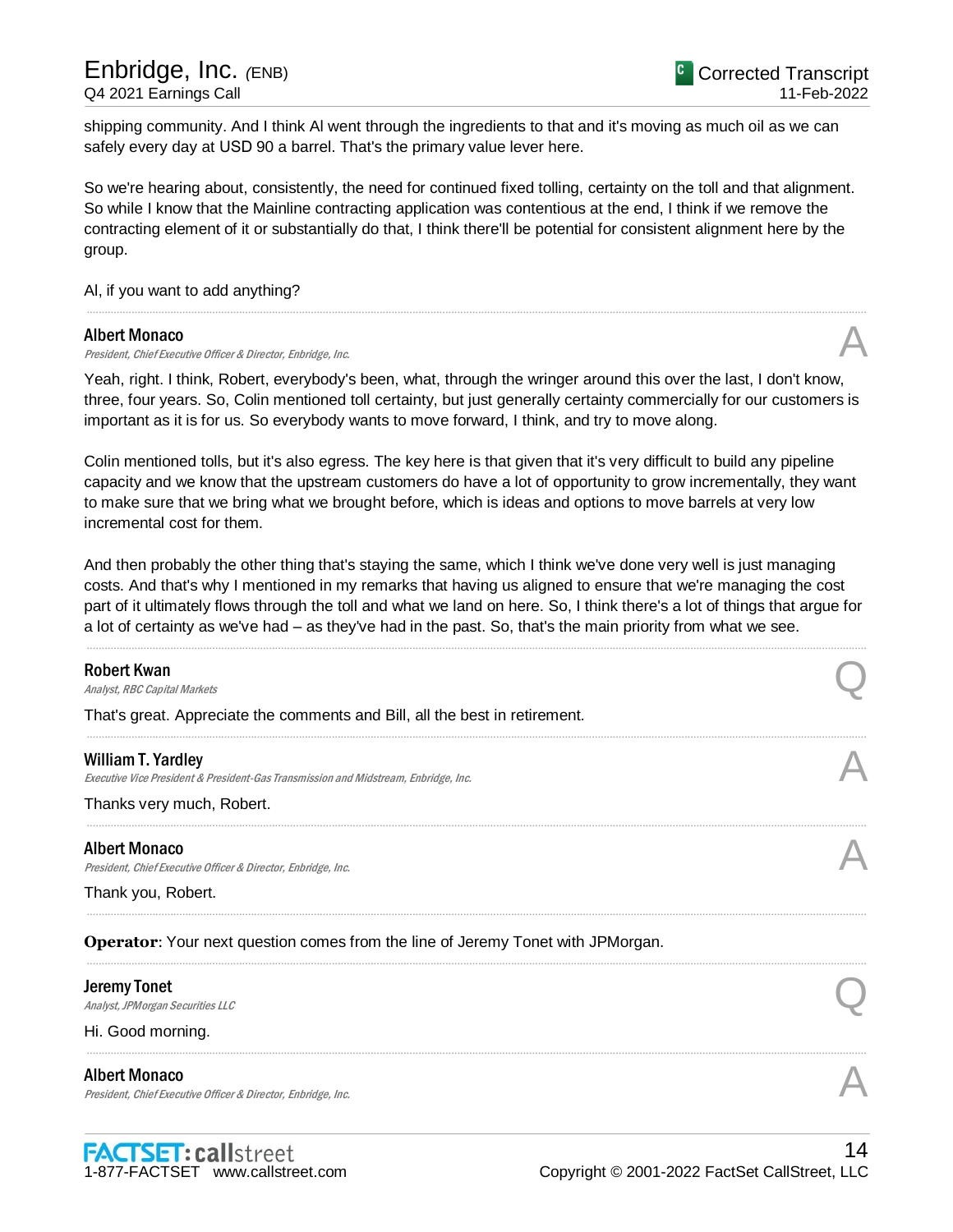shipping community. And I think Al went through the ingredients to that and it's moving as much oil as we can safely every day at USD 90 a barrel. That's the primary value lever here.

So we're hearing about, consistently, the need for continued fixed tolling, certainty on the toll and that alignment. So while I know that the Mainline contracting application was contentious at the end, I think if we remove the contracting element of it or substantially do that, I think there'll be potential for consistent alignment here by the group.

Al, if you want to add anything?

#### Albert Monaco

President, Chief Executive Officer & Director, Enbridge, Inc.

Yeah, right. I think, Robert, everybody's been, what, through the wringer around this over the last, I don't know, three, four years. So, Colin mentioned toll certainty, but just generally certainty commercially for our customers is important as it is for us. So everybody wants to move forward, I think, and try to move along.

.....................................................................................................................................................................................................................................................................

Colin mentioned tolls, but it's also egress. The key here is that given that it's very difficult to build any pipeline capacity and we know that the upstream customers do have a lot of opportunity to grow incrementally, they want to make sure that we bring what we brought before, which is ideas and options to move barrels at very low incremental cost for them.

And then probably the other thing that's staying the same, which I think we've done very well is just managing costs. And that's why I mentioned in my remarks that having us aligned to ensure that we're managing the cost part of it ultimately flows through the toll and what we land on here. So, I think there's a lot of things that argue for a lot of certainty as we've had – as they've had in the past. So, that's the main priority from what we see.

.....................................................................................................................................................................................................................................................................

.....................................................................................................................................................................................................................................................................

.....................................................................................................................................................................................................................................................................

.....................................................................................................................................................................................................................................................................

.....................................................................................................................................................................................................................................................................

#### Robert Kwan

**Robert Kwan**<br>Analyst, RBC Capital Markets **Q** 

That's great. Appreciate the comments and Bill, all the best in retirement.

#### William T. Yardley

Executive Vice President & President-Gas Transmission and Midstream, Enbridge, Inc. A

Thanks very much, Robert.

#### Albert Monaco

Albert Monaco<br>President, Chief Executive Officer & Director, Enbridge, Inc. And The Content of the State of the State of the

Thank you, Robert.

**Operator**: Your next question comes from the line of Jeremy Tonet with JPMorgan.

## Jeremy Tonet **Deremy Tonet**<br>Analyst, JPMorgan Securities LLC

Hi. Good morning.

#### Albert Monaco

President, Chief Executive Officer & Director, Enbridge, Inc.

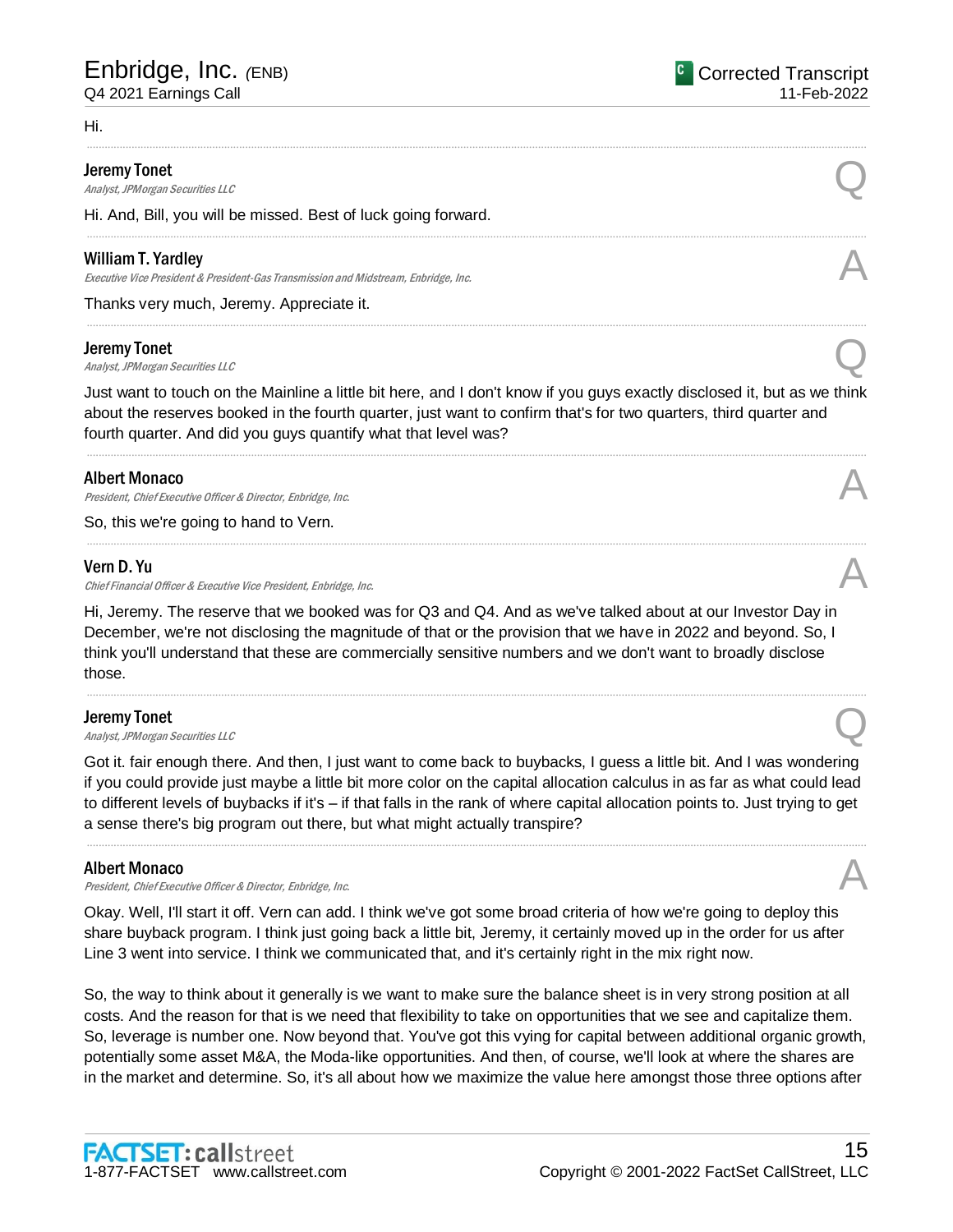#### Hi.

#### Jeremy Tonet

**Deremy Tonet**<br>Analyst, JPMorgan Securities LLC

Hi. And, Bill, you will be missed. Best of luck going forward.

### William T. Yardley

Executive Vice President & President-Gas Transmission and Midstream, Enbridge, Inc.

Thanks very much, Jeremy. Appreciate it.

#### Jeremy Tonet

**Deremy Tonet**<br>Analyst, JPMorgan Securities LLC

Just want to touch on the Mainline a little bit here, and I don't know if you guys exactly disclosed it, but as we think about the reserves booked in the fourth quarter, just want to confirm that's for two quarters, third quarter and fourth quarter. And did you guys quantify what that level was?

.....................................................................................................................................................................................................................................................................

.....................................................................................................................................................................................................................................................................

.....................................................................................................................................................................................................................................................................

.....................................................................................................................................................................................................................................................................

.....................................................................................................................................................................................................................................................................

### Albert Monaco

Albert Monaco<br>President, Chief Executive Officer & Director, Enbridge, Inc. And The Content of the Security of the Alberta S

So, this we're going to hand to Vern.

#### Vern D. Yu

Chief Financial Officer & Executive Vice President, Enbridge, Inc.

Hi, Jeremy. The reserve that we booked was for Q3 and Q4. And as we've talked about at our Investor Day in December, we're not disclosing the magnitude of that or the provision that we have in 2022 and beyond. So, I think you'll understand that these are commercially sensitive numbers and we don't want to broadly disclose those.

.....................................................................................................................................................................................................................................................................

### Jeremy Tonet

**Deremy Tonet**<br>Analyst, JPMorgan Securities LLC

Got it. fair enough there. And then, I just want to come back to buybacks, I guess a little bit. And I was wondering if you could provide just maybe a little bit more color on the capital allocation calculus in as far as what could lead to different levels of buybacks if it's – if that falls in the rank of where capital allocation points to. Just trying to get a sense there's big program out there, but what might actually transpire?

.....................................................................................................................................................................................................................................................................

### Albert Monaco

Albert Monaco<br>President, Chief Executive Officer & Director, Enbridge, Inc. And The Content of the Security of the According

Okay. Well, I'll start it off. Vern can add. I think we've got some broad criteria of how we're going to deploy this share buyback program. I think just going back a little bit, Jeremy, it certainly moved up in the order for us after Line 3 went into service. I think we communicated that, and it's certainly right in the mix right now.

So, the way to think about it generally is we want to make sure the balance sheet is in very strong position at all costs. And the reason for that is we need that flexibility to take on opportunities that we see and capitalize them. So, leverage is number one. Now beyond that. You've got this vying for capital between additional organic growth, potentially some asset M&A, the Moda-like opportunities. And then, of course, we'll look at where the shares are in the market and determine. So, it's all about how we maximize the value here amongst those three options after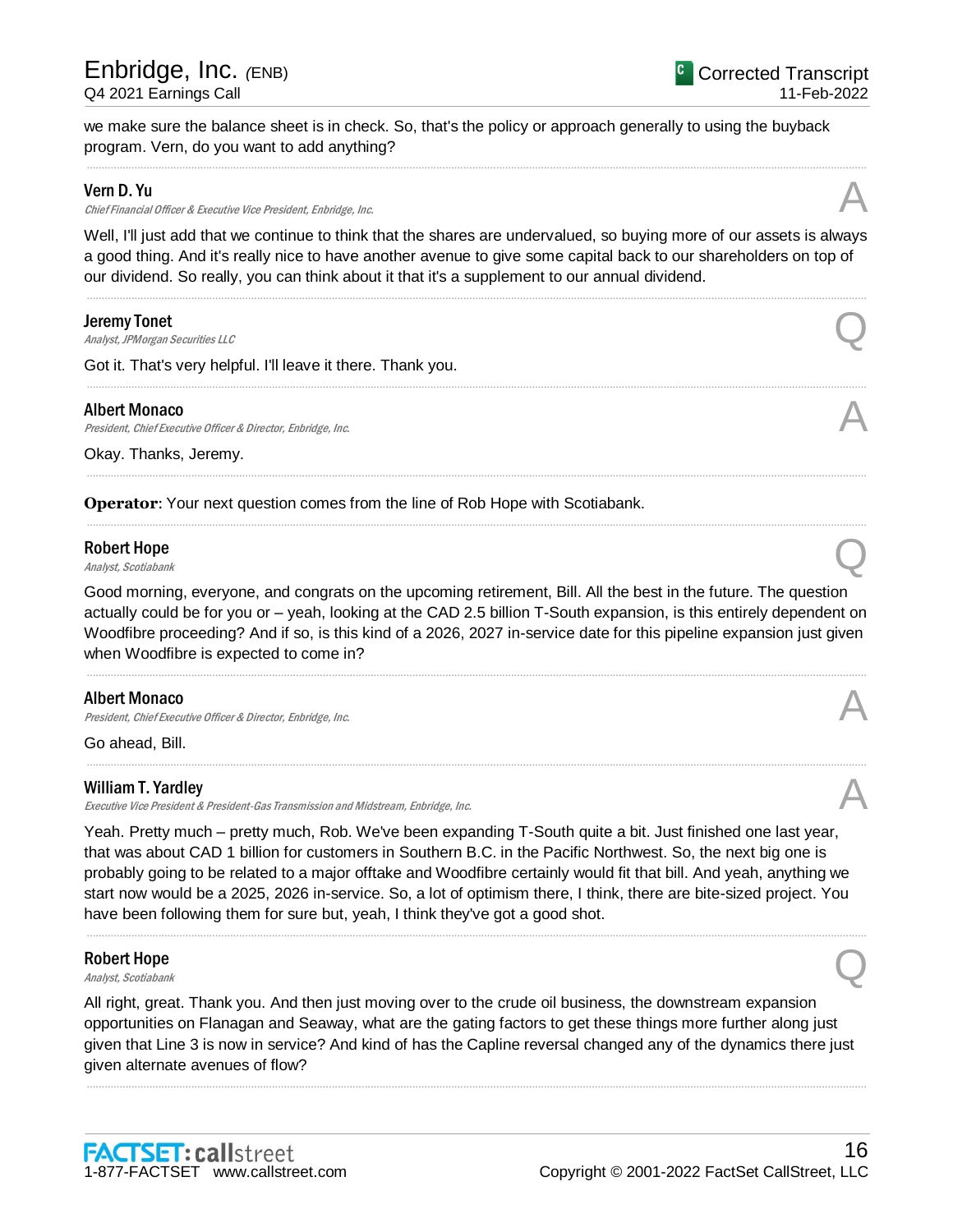program. Vern, do you want to add anything?

Chief Financial Officer & Executive Vice President, Enbridge, Inc.

16

Copyright © 2001-2022 FactSet CallStreet, LLC

# opportunities on Flanagan and Seaway, what are the gating factors to get these things more further along just given that Line 3 is now in service? And kind of has the Capline reversal changed any of the dynamics there just

..................................................................................................................................................................................................................................................................... Robert Hope

### Albert Monaco

President, Chief Executive Officer & Director, Enbridge, Inc.

Go ahead, Bill.

## William T. Yardley

Executive Vice President & President-Gas Transmission and Midstream, Enbridge, Inc. A

Yeah. Pretty much – pretty much, Rob. We've been expanding T-South quite a bit. Just finished one last year, that was about CAD 1 billion for customers in Southern B.C. in the Pacific Northwest. So, the next big one is probably going to be related to a major offtake and Woodfibre certainly would fit that bill. And yeah, anything we start now would be a 2025, 2026 in-service. So, a lot of optimism there, I think, there are bite-sized project. You have been following them for sure but, yeah, I think they've got a good shot.

.....................................................................................................................................................................................................................................................................

.....................................................................................................................................................................................................................................................................

All right, great. Thank you. And then just moving over to the crude oil business, the downstream expansion

## Robert Hope **Robert Hope**<br>Analyst, Scotiabank  $\bigotimes$

given alternate avenues of flow?

**Robert Hope**<br>Analyst, Scotiabank  $\bigotimes$ Good morning, everyone, and congrats on the upcoming retirement, Bill. All the best in the future. The question actually could be for you or – yeah, looking at the CAD 2.5 billion T-South expansion, is this entirely dependent on Woodfibre proceeding? And if so, is this kind of a 2026, 2027 in-service date for this pipeline expansion just given when Woodfibre is expected to come in?

.....................................................................................................................................................................................................................................................................

.....................................................................................................................................................................................................................................................................

we make sure the balance sheet is in check. So, that's the policy or approach generally to using the buyback

our dividend. So really, you can think about it that it's a supplement to our annual dividend.

.....................................................................................................................................................................................................................................................................

### ..................................................................................................................................................................................................................................................................... Jeremy Tonet

**Deremy Tonet**<br>Analyst, JPMorgan Securities LLC

Got it. That's very helpful. I'll leave it there. Thank you.

#### Albert Monaco

President, Chief Executive Officer & Director, Enbridge, Inc.

Okay. Thanks, Jeremy.

**Operator**: Your next question comes from the line of Rob Hope with Scotiabank.

#### Well, I'll just add that we continue to think that the shares are undervalued, so buying more of our assets is always a good thing. And it's really nice to have another avenue to give some capital back to our shareholders on top of

Vern D. Yu

.....................................................................................................................................................................................................................................................................







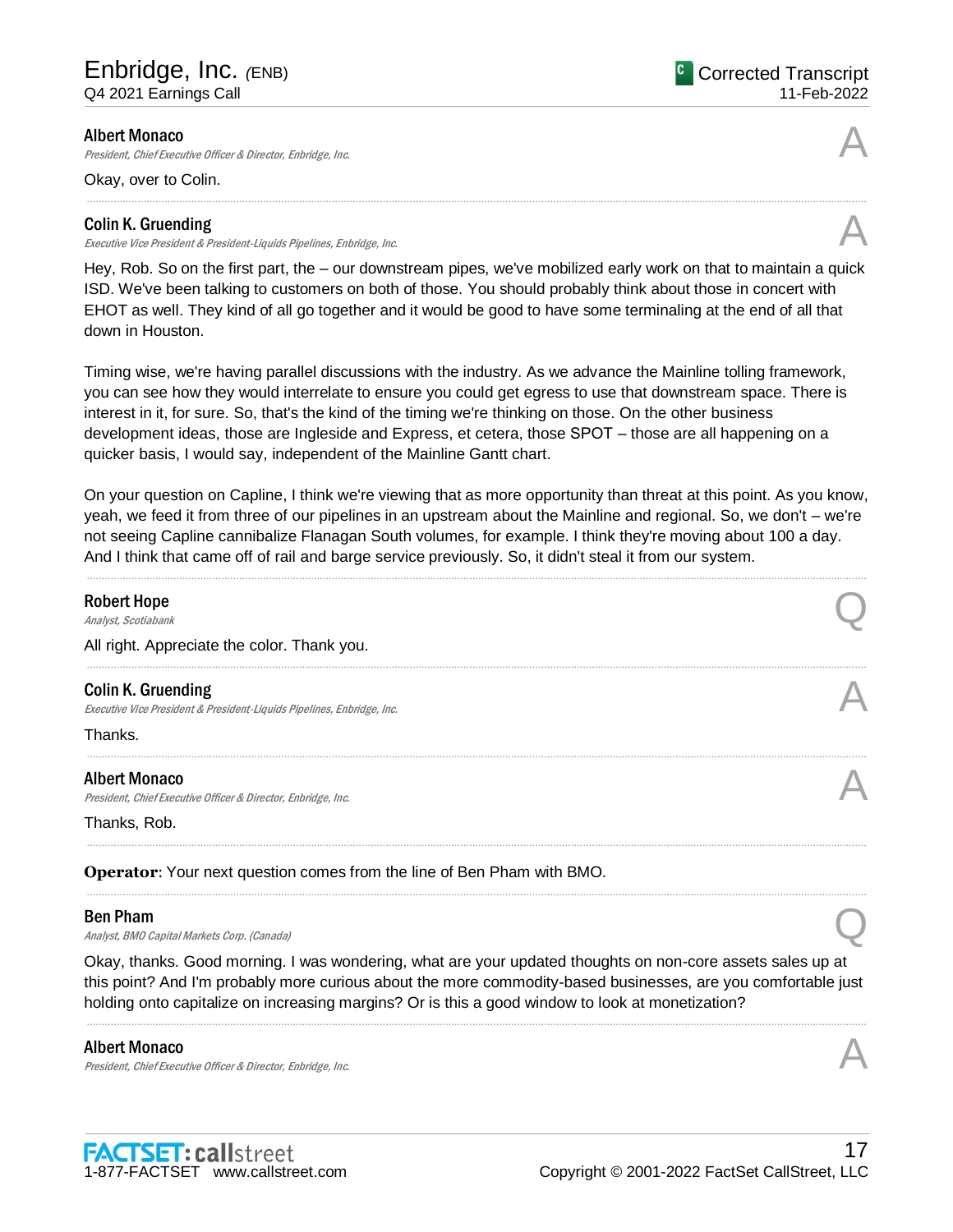#### Albert Monaco

President, Chief Executive Officer & Director, Enbridge, Inc.

Okay, over to Colin.

### Colin K. Gruending

Executive Vice President & President-Liquids Pipelines, Enbridge, Inc.

Hey, Rob. So on the first part, the – our downstream pipes, we've mobilized early work on that to maintain a quick ISD. We've been talking to customers on both of those. You should probably think about those in concert with EHOT as well. They kind of all go together and it would be good to have some terminaling at the end of all that down in Houston.

.....................................................................................................................................................................................................................................................................

Timing wise, we're having parallel discussions with the industry. As we advance the Mainline tolling framework, you can see how they would interrelate to ensure you could get egress to use that downstream space. There is interest in it, for sure. So, that's the kind of the timing we're thinking on those. On the other business development ideas, those are Ingleside and Express, et cetera, those SPOT – those are all happening on a quicker basis, I would say, independent of the Mainline Gantt chart.

On your question on Capline, I think we're viewing that as more opportunity than threat at this point. As you know, yeah, we feed it from three of our pipelines in an upstream about the Mainline and regional. So, we don't – we're not seeing Capline cannibalize Flanagan South volumes, for example. I think they're moving about 100 a day. And I think that came off of rail and barge service previously. So, it didn't steal it from our system.

.....................................................................................................................................................................................................................................................................

| <b>Robert Hope</b><br>Analyst, Scotiabank                                                                                                                                                                                   |  |
|-----------------------------------------------------------------------------------------------------------------------------------------------------------------------------------------------------------------------------|--|
| All right. Appreciate the color. Thank you.                                                                                                                                                                                 |  |
| <b>Colin K. Gruending</b><br>Executive Vice President & President-Liquids Pipelines, Enbridge, Inc.                                                                                                                         |  |
| Thanks.                                                                                                                                                                                                                     |  |
| <b>Albert Monaco</b><br>President, Chief Executive Officer & Director, Enbridge, Inc.                                                                                                                                       |  |
| Thanks, Rob.                                                                                                                                                                                                                |  |
| <b>Operator:</b> Your next question comes from the line of Ben Pham with BMO.                                                                                                                                               |  |
| <b>Ben Pham</b><br>Analyst, BMO Capital Markets Corp. (Canada)                                                                                                                                                              |  |
| Okay, thanks. Good morning. I was wondering, what are your updated thoughts on non-core assets sales up at<br>this point? And I'm probably more curious about the more commodity-based businesses, are you comfortable just |  |

.....................................................................................................................................................................................................................................................................

holding onto capitalize on increasing margins? Or is this a good window to look at monetization?

### Albert Monaco

President, Chief Executive Officer & Director, Enbridge, Inc.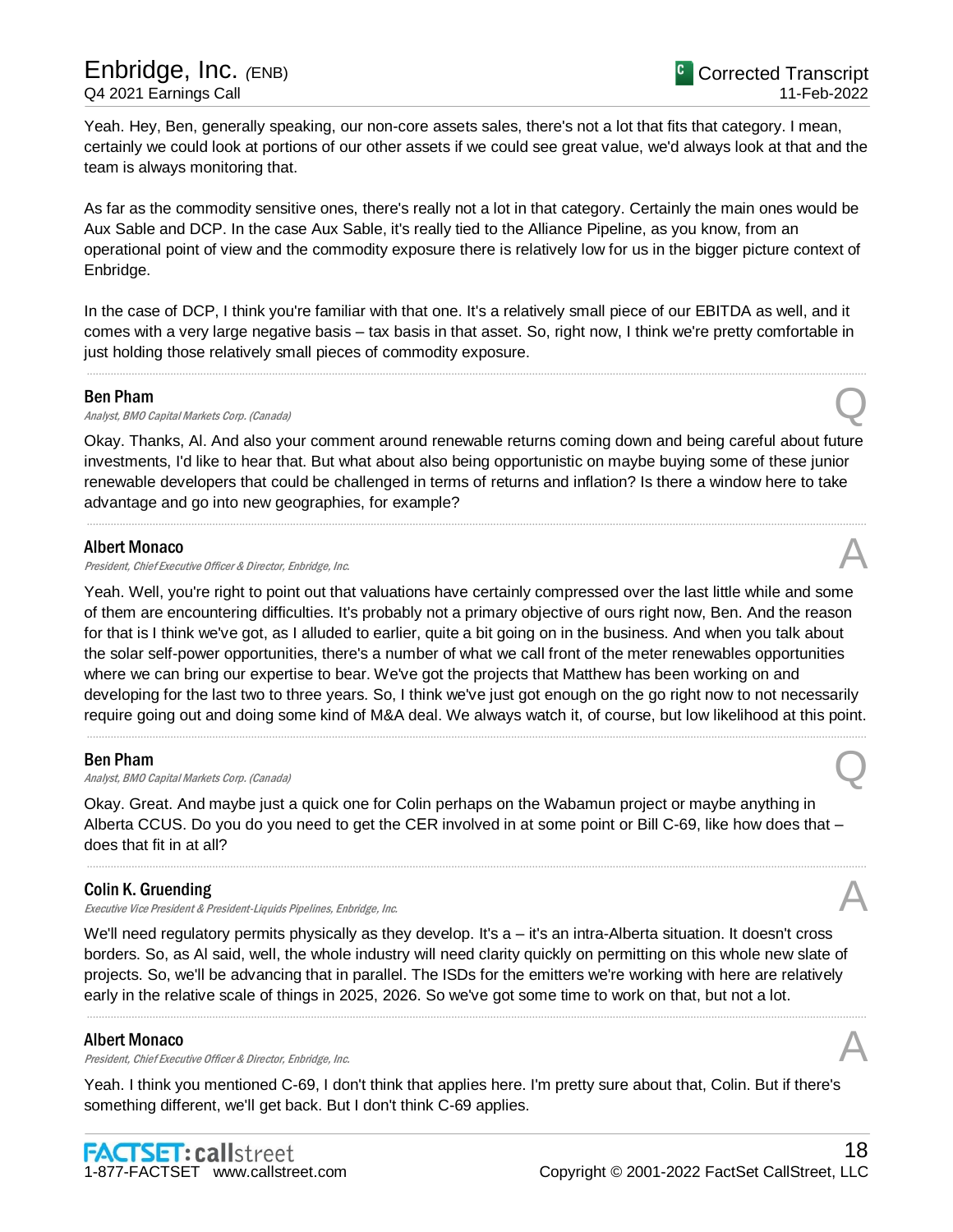## Enbridge, Inc. *(*ENB) Q4 2021 Earnings Call

Yeah. Hey, Ben, generally speaking, our non-core assets sales, there's not a lot that fits that category. I mean, certainly we could look at portions of our other assets if we could see great value, we'd always look at that and the team is always monitoring that.

As far as the commodity sensitive ones, there's really not a lot in that category. Certainly the main ones would be Aux Sable and DCP. In the case Aux Sable, it's really tied to the Alliance Pipeline, as you know, from an operational point of view and the commodity exposure there is relatively low for us in the bigger picture context of Enbridge.

In the case of DCP, I think you're familiar with that one. It's a relatively small piece of our EBITDA as well, and it comes with a very large negative basis – tax basis in that asset. So, right now, I think we're pretty comfortable in just holding those relatively small pieces of commodity exposure.

.....................................................................................................................................................................................................................................................................

#### Ben Pham

**Ben Pham**<br>Analyst, BMO Capital Markets Corp. (Canada)  $\mathbb{Q}$ 

Okay. Thanks, Al. And also your comment around renewable returns coming down and being careful about future investments, I'd like to hear that. But what about also being opportunistic on maybe buying some of these junior renewable developers that could be challenged in terms of returns and inflation? Is there a window here to take advantage and go into new geographies, for example?

.....................................................................................................................................................................................................................................................................

### Albert Monaco

President, Chief Executive Officer & Director, Enbridge, Inc.

Yeah. Well, you're right to point out that valuations have certainly compressed over the last little while and some of them are encountering difficulties. It's probably not a primary objective of ours right now, Ben. And the reason for that is I think we've got, as I alluded to earlier, quite a bit going on in the business. And when you talk about the solar self-power opportunities, there's a number of what we call front of the meter renewables opportunities where we can bring our expertise to bear. We've got the projects that Matthew has been working on and developing for the last two to three years. So, I think we've just got enough on the go right now to not necessarily require going out and doing some kind of M&A deal. We always watch it, of course, but low likelihood at this point.

.....................................................................................................................................................................................................................................................................

### Ben Pham

**Ben Pham**<br>Analyst, BMO Capital Markets Corp. (Canada)  $\mathbb{Q}$ 

Okay. Great. And maybe just a quick one for Colin perhaps on the Wabamun project or maybe anything in Alberta CCUS. Do you do you need to get the CER involved in at some point or Bill C-69, like how does that – does that fit in at all?

.....................................................................................................................................................................................................................................................................

## Colin K. Gruending

Executive Vice President & President-Liquids Pipelines, Enbridge, Inc.

We'll need regulatory permits physically as they develop. It's a – it's an intra-Alberta situation. It doesn't cross borders. So, as Al said, well, the whole industry will need clarity quickly on permitting on this whole new slate of projects. So, we'll be advancing that in parallel. The ISDs for the emitters we're working with here are relatively early in the relative scale of things in 2025, 2026. So we've got some time to work on that, but not a lot.

.....................................................................................................................................................................................................................................................................

## Albert Monaco

Albert Monaco<br>President, Chief Executive Officer & Director, Enbridge, Inc. And The Content of the Security of the Alberta S

Yeah. I think you mentioned C-69, I don't think that applies here. I'm pretty sure about that, Colin. But if there's something different, we'll get back. But I don't think C-69 applies.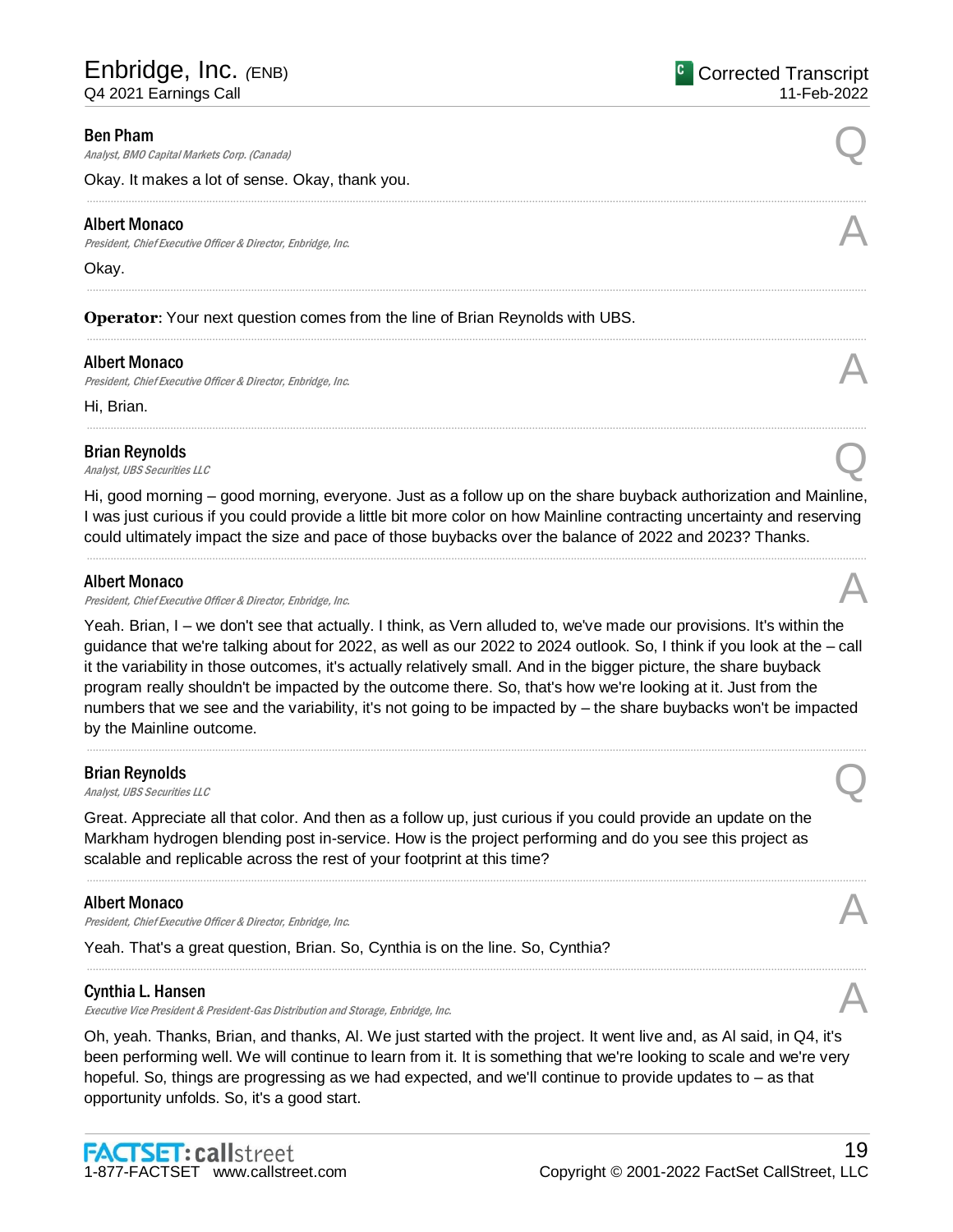#### Ben Pham

**Ben Pham**<br>Analyst, BMO Capital Markets Corp. (Canada)  $\mathbb{Q}$ 

Okay. It makes a lot of sense. Okay, thank you.

#### Albert Monaco

President, Chief Executive Officer & Director, Enbridge, Inc.

#### Okay.

**Operator**: Your next question comes from the line of Brian Reynolds with UBS.

#### Albert Monaco

Albert Monaco<br>President, Chief Executive Officer & Director, Enbridge, Inc. And The Content of the Security of the Alberta S

Hi, Brian.

## Brian Reynolds Brian Reynolds<br>
Analyst, UBS Securities LLC

Hi, good morning – good morning, everyone. Just as a follow up on the share buyback authorization and Mainline, I was just curious if you could provide a little bit more color on how Mainline contracting uncertainty and reserving could ultimately impact the size and pace of those buybacks over the balance of 2022 and 2023? Thanks.

.....................................................................................................................................................................................................................................................................

.....................................................................................................................................................................................................................................................................

.....................................................................................................................................................................................................................................................................

#### Albert Monaco

Albert Monaco<br>President, Chief Executive Officer & Director, Enbridge, Inc. And The Content of the Security of the According

Yeah. Brian, I – we don't see that actually. I think, as Vern alluded to, we've made our provisions. It's within the guidance that we're talking about for 2022, as well as our 2022 to 2024 outlook. So, I think if you look at the – call it the variability in those outcomes, it's actually relatively small. And in the bigger picture, the share buyback program really shouldn't be impacted by the outcome there. So, that's how we're looking at it. Just from the numbers that we see and the variability, it's not going to be impacted by – the share buybacks won't be impacted by the Mainline outcome.

.....................................................................................................................................................................................................................................................................

.....................................................................................................................................................................................................................................................................

.....................................................................................................................................................................................................................................................................

#### Brian Reynolds

Brian Reynolds<br>
Analyst, UBS Securities LLC

Great. Appreciate all that color. And then as a follow up, just curious if you could provide an update on the Markham hydrogen blending post in-service. How is the project performing and do you see this project as scalable and replicable across the rest of your footprint at this time?

#### Albert Monaco

President, Chief Executive Officer & Director, Enbridge, Inc.

Yeah. That's a great question, Brian. So, Cynthia is on the line. So, Cynthia?

#### Cynthia L. Hansen

Executive Vice President & President-Gas Distribution and Storage, Enbridge, Inc.

Oh, yeah. Thanks, Brian, and thanks, Al. We just started with the project. It went live and, as Al said, in Q4, it's been performing well. We will continue to learn from it. It is something that we're looking to scale and we're very hopeful. So, things are progressing as we had expected, and we'll continue to provide updates to – as that opportunity unfolds. So, it's a good start.





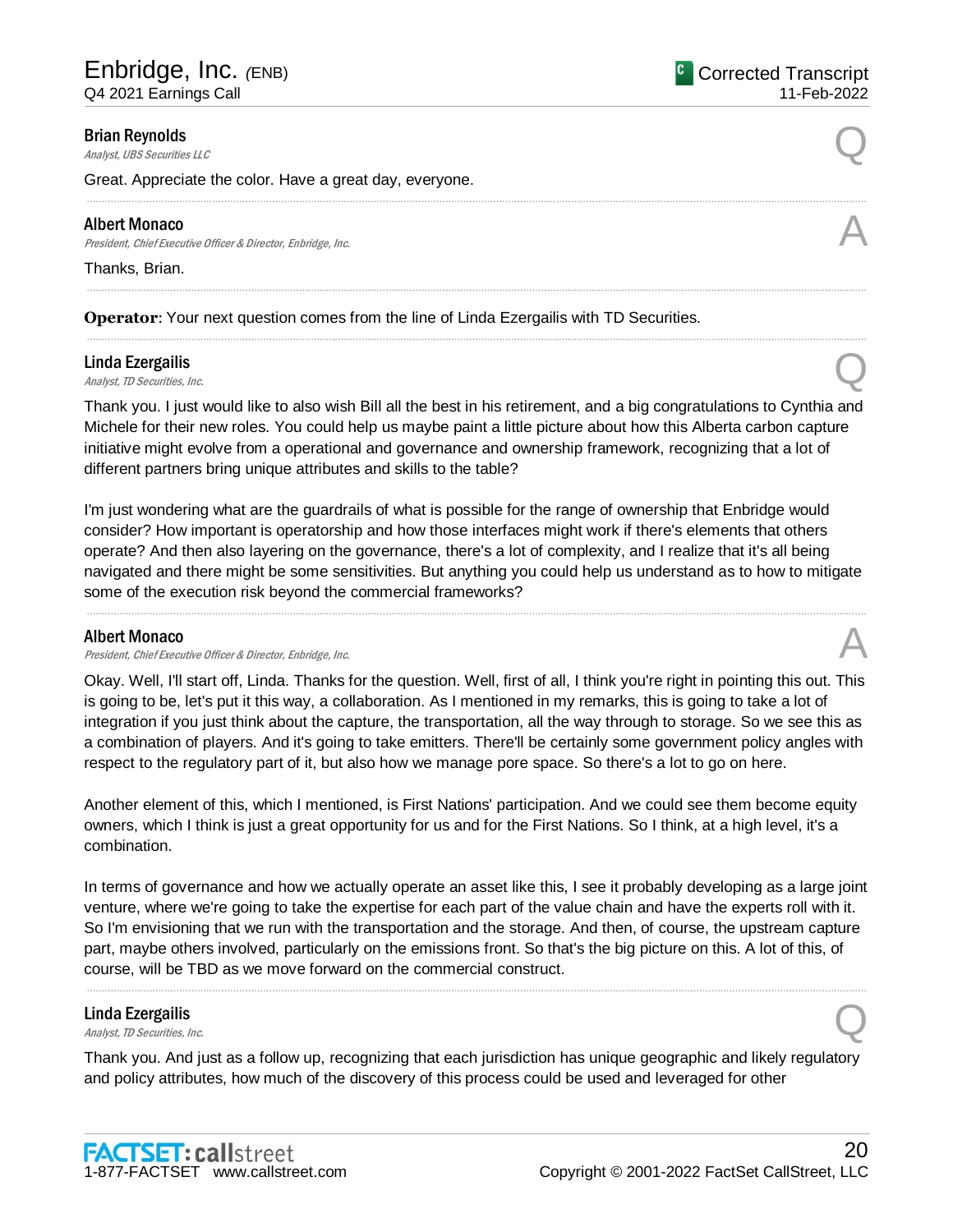#### Brian Reynolds

Brian Reynolds<br>Analyst, UBS Securities LLC

Great. Appreciate the color. Have a great day, everyone.

#### Albert Monaco

President, Chief Executive Officer & Director, Enbridge, Inc.

Thanks, Brian.

**Operator:** Your next question comes from the line of Linda Ezergailis with TD Securities.

## Linda Ezergailis **Linda Ezergailis**<br>Analyst, TD Securities, Inc. **Q**

Thank you. I just would like to also wish Bill all the best in his retirement, and a big congratulations to Cynthia and Michele for their new roles. You could help us maybe paint a little picture about how this Alberta carbon capture initiative might evolve from a operational and governance and ownership framework, recognizing that a lot of different partners bring unique attributes and skills to the table?

.....................................................................................................................................................................................................................................................................

I'm just wondering what are the guardrails of what is possible for the range of ownership that Enbridge would consider? How important is operatorship and how those interfaces might work if there's elements that others operate? And then also layering on the governance, there's a lot of complexity, and I realize that it's all being navigated and there might be some sensitivities. But anything you could help us understand as to how to mitigate some of the execution risk beyond the commercial frameworks?

.....................................................................................................................................................................................................................................................................

### Albert Monaco

President, Chief Executive Officer & Director, Enbridge, Inc.

Okay. Well, I'll start off, Linda. Thanks for the question. Well, first of all, I think you're right in pointing this out. This is going to be, let's put it this way, a collaboration. As I mentioned in my remarks, this is going to take a lot of integration if you just think about the capture, the transportation, all the way through to storage. So we see this as a combination of players. And it's going to take emitters. There'll be certainly some government policy angles with respect to the regulatory part of it, but also how we manage pore space. So there's a lot to go on here.

Another element of this, which I mentioned, is First Nations' participation. And we could see them become equity owners, which I think is just a great opportunity for us and for the First Nations. So I think, at a high level, it's a combination.

In terms of governance and how we actually operate an asset like this, I see it probably developing as a large joint venture, where we're going to take the expertise for each part of the value chain and have the experts roll with it. So I'm envisioning that we run with the transportation and the storage. And then, of course, the upstream capture part, maybe others involved, particularly on the emissions front. So that's the big picture on this. A lot of this, of course, will be TBD as we move forward on the commercial construct.

.....................................................................................................................................................................................................................................................................

## Linda Ezergailis **Linda Ezergailis**<br>Analyst, TD Securities, Inc. **Q**

Thank you. And just as a follow up, recognizing that each jurisdiction has unique geographic and likely regulatory and policy attributes, how much of the discovery of this process could be used and leveraged for other







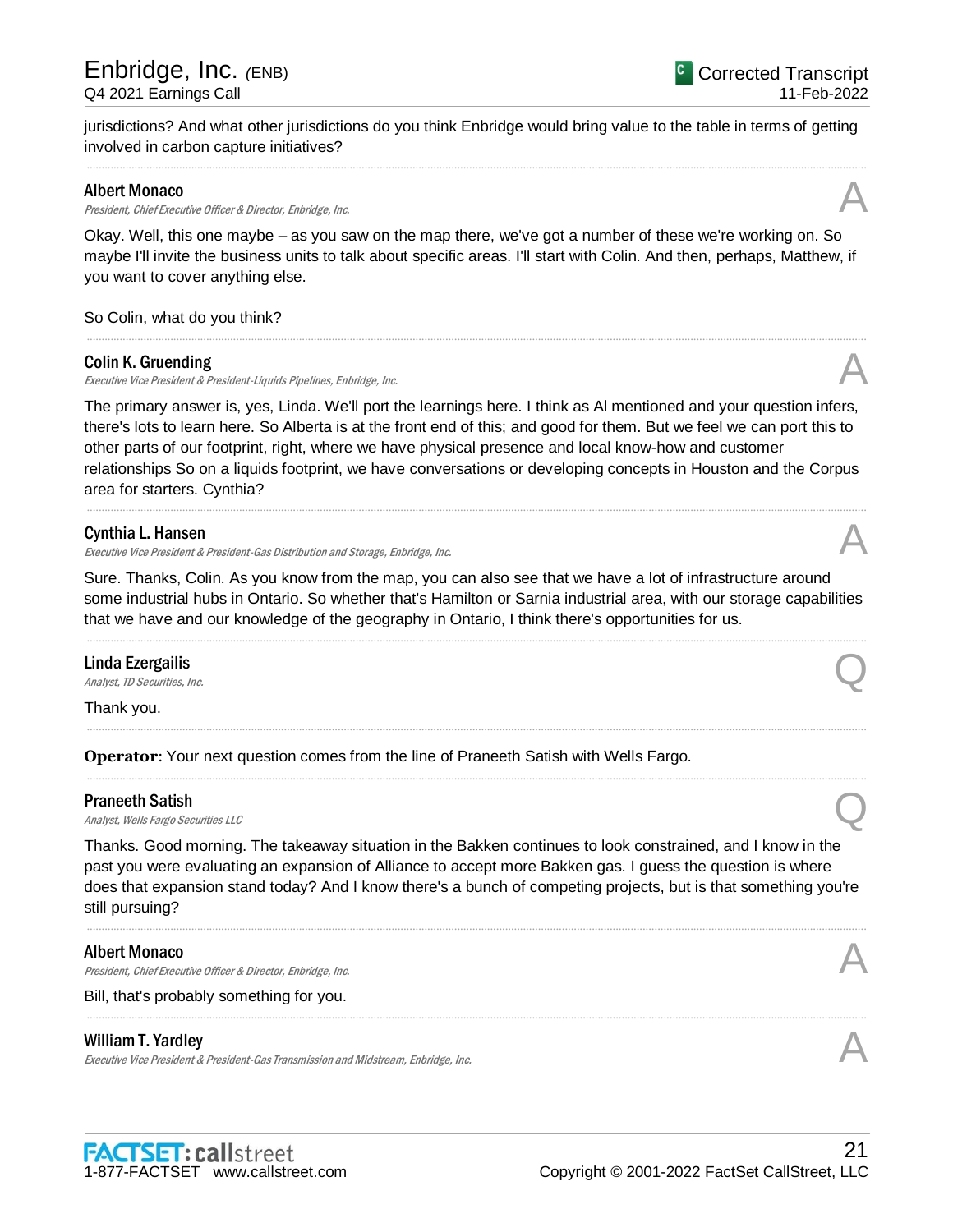jurisdictions? And what other jurisdictions do you think Enbridge would bring value to the table in terms of getting involved in carbon capture initiatives? .....................................................................................................................................................................................................................................................................

#### Albert Monaco

Albert Monaco<br>President, Chief Executive Officer & Director, Enbridge, Inc. And The Content of the Security of the Alberta S

Okay. Well, this one maybe – as you saw on the map there, we've got a number of these we're working on. So maybe I'll invite the business units to talk about specific areas. I'll start with Colin. And then, perhaps, Matthew, if you want to cover anything else.

.....................................................................................................................................................................................................................................................................

So Colin, what do you think?

#### Colin K. Gruending

Executive Vice President & President-Liquids Pipelines, Enbridge, Inc.

The primary answer is, yes, Linda. We'll port the learnings here. I think as Al mentioned and your question infers, there's lots to learn here. So Alberta is at the front end of this; and good for them. But we feel we can port this to other parts of our footprint, right, where we have physical presence and local know-how and customer relationships So on a liquids footprint, we have conversations or developing concepts in Houston and the Corpus area for starters. Cynthia?

.....................................................................................................................................................................................................................................................................

#### Cynthia L. Hansen

Executive Vice President & President-Gas Distribution and Storage, Enbridge, Inc.

Sure. Thanks, Colin. As you know from the map, you can also see that we have a lot of infrastructure around some industrial hubs in Ontario. So whether that's Hamilton or Sarnia industrial area, with our storage capabilities that we have and our knowledge of the geography in Ontario, I think there's opportunities for us.

.....................................................................................................................................................................................................................................................................

.....................................................................................................................................................................................................................................................................

.....................................................................................................................................................................................................................................................................

## Linda Ezergailis **Linda Ezergailis**<br>Analyst, TD Securities, Inc.  $\bigotimes$

Thank you.

**Operator**: Your next question comes from the line of Praneeth Satish with Wells Fargo.

#### Praneeth Satish

**Praneeth Satish**<br>Analyst, Wells Fargo Securities LLC

Thanks. Good morning. The takeaway situation in the Bakken continues to look constrained, and I know in the past you were evaluating an expansion of Alliance to accept more Bakken gas. I guess the question is where does that expansion stand today? And I know there's a bunch of competing projects, but is that something you're still pursuing?

.....................................................................................................................................................................................................................................................................

.....................................................................................................................................................................................................................................................................

#### Albert Monaco

President, Chief Executive Officer & Director, Enbridge, Inc.

Bill, that's probably something for you.

### William T. Yardley

Executive Vice President & President-Gas Transmission and Midstream, Enbridge, Inc.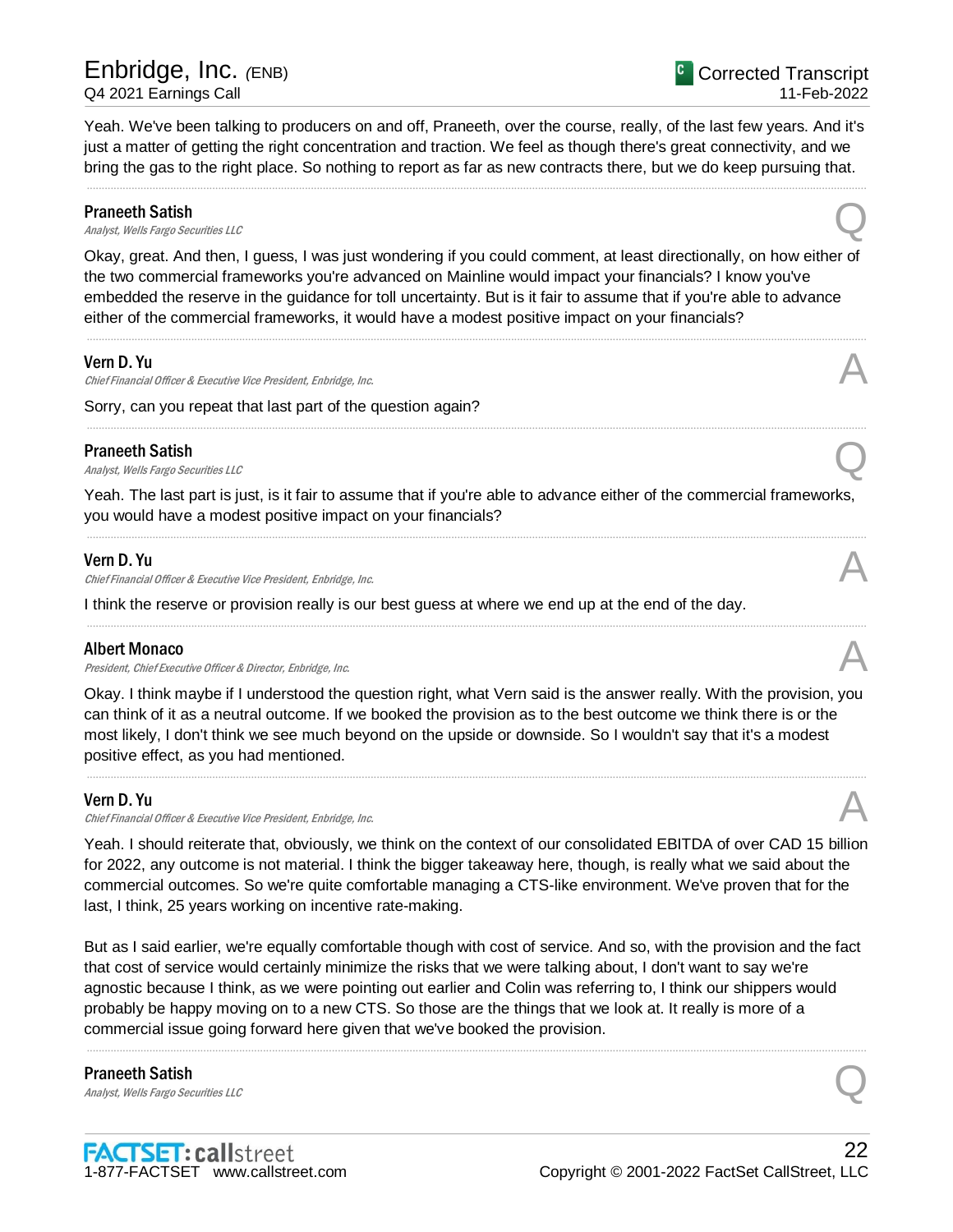Yeah. We've been talking to producers on and off, Praneeth, over the course, really, of the last few years. And it's just a matter of getting the right concentration and traction. We feel as though there's great connectivity, and we bring the gas to the right place. So nothing to report as far as new contracts there, but we do keep pursuing that.

.....................................................................................................................................................................................................................................................................

#### Praneeth Satish

**Praneeth Satish**<br>Analyst, Wells Fargo Securities LLC

Okay, great. And then, I guess, I was just wondering if you could comment, at least directionally, on how either of the two commercial frameworks you're advanced on Mainline would impact your financials? I know you've embedded the reserve in the guidance for toll uncertainty. But is it fair to assume that if you're able to advance either of the commercial frameworks, it would have a modest positive impact on your financials?

.....................................................................................................................................................................................................................................................................

.....................................................................................................................................................................................................................................................................

#### Vern D. Yu

Chief Financial Officer & Executive Vice President, Enbridge, Inc.

Sorry, can you repeat that last part of the question again?

#### Praneeth Satish

**Praneeth Satish**<br>Analyst, Wells Fargo Securities LLC

Yeah. The last part is just, is it fair to assume that if you're able to advance either of the commercial frameworks, you would have a modest positive impact on your financials?

.....................................................................................................................................................................................................................................................................

.....................................................................................................................................................................................................................................................................

#### Vern D. Yu

Chief Financial Officer & Executive Vice President, Enbridge, Inc.

I think the reserve or provision really is our best guess at where we end up at the end of the day.

#### Albert Monaco

President, Chief Executive Officer & Director, Enbridge, Inc.

Okay. I think maybe if I understood the question right, what Vern said is the answer really. With the provision, you can think of it as a neutral outcome. If we booked the provision as to the best outcome we think there is or the most likely, I don't think we see much beyond on the upside or downside. So I wouldn't say that it's a modest positive effect, as you had mentioned.

.....................................................................................................................................................................................................................................................................

#### Vern D. Yu

Chief Financial Officer & Executive Vice President, Enbridge, Inc.

Yeah. I should reiterate that, obviously, we think on the context of our consolidated EBITDA of over CAD 15 billion for 2022, any outcome is not material. I think the bigger takeaway here, though, is really what we said about the commercial outcomes. So we're quite comfortable managing a CTS-like environment. We've proven that for the last, I think, 25 years working on incentive rate-making.

But as I said earlier, we're equally comfortable though with cost of service. And so, with the provision and the fact that cost of service would certainly minimize the risks that we were talking about, I don't want to say we're agnostic because I think, as we were pointing out earlier and Colin was referring to, I think our shippers would probably be happy moving on to a new CTS. So those are the things that we look at. It really is more of a commercial issue going forward here given that we've booked the provision.

.....................................................................................................................................................................................................................................................................

Praneeth Satish **Praneeth Satish**<br>Analyst, Wells Fargo Securities LLC



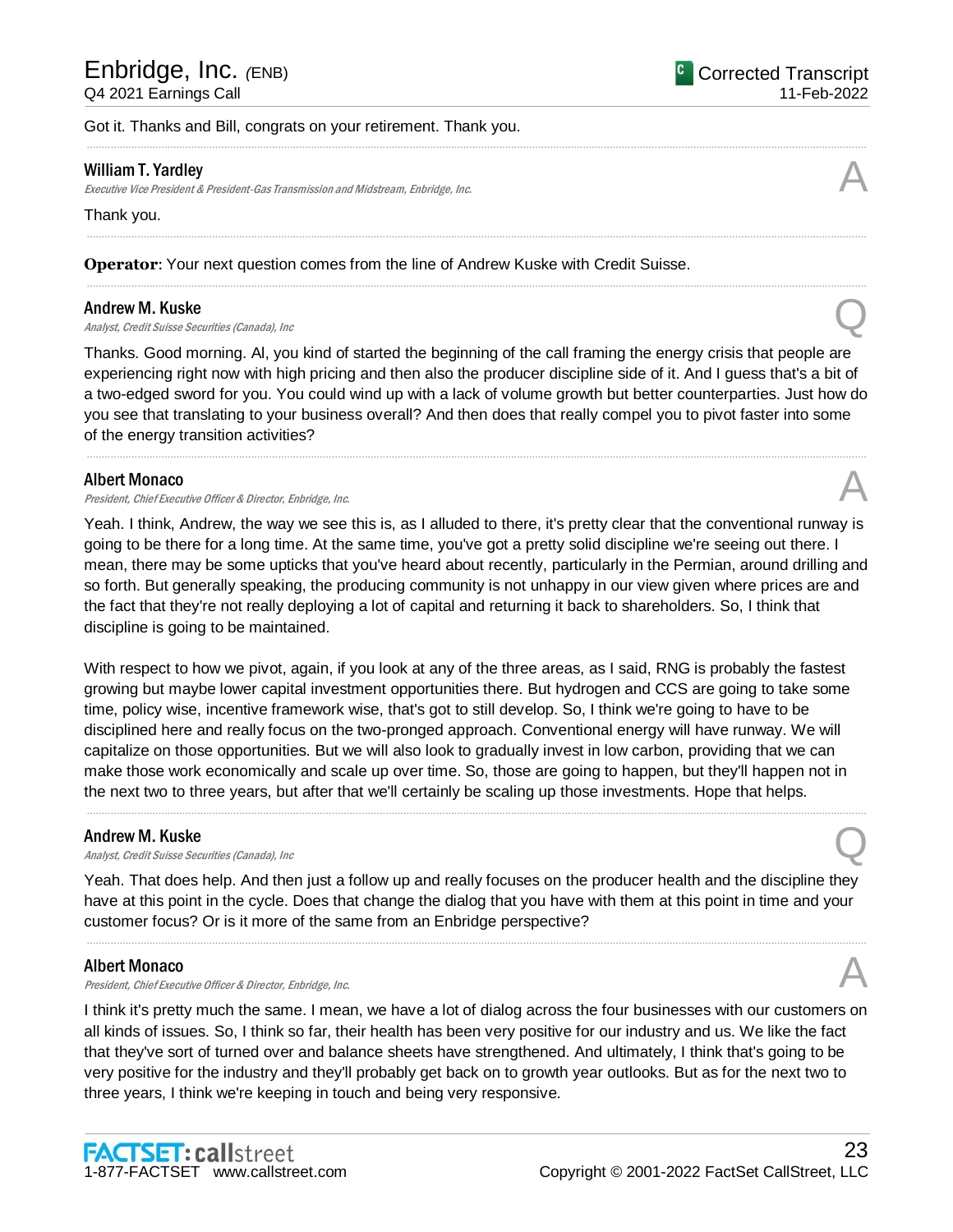#### Got it. Thanks and Bill, congrats on your retirement. Thank you.

#### William T. Yardley

Executive Vice President & President-Gas Transmission and Midstream, Enbridge, Inc.

Thank you.

**Operator**: Your next question comes from the line of Andrew Kuske with Credit Suisse.

#### Andrew M. Kuske

**Andrew M. Kuske**<br>Analyst, Credit Suisse Securities (Canada), Inc

Thanks. Good morning. Al, you kind of started the beginning of the call framing the energy crisis that people are experiencing right now with high pricing and then also the producer discipline side of it. And I guess that's a bit of a two-edged sword for you. You could wind up with a lack of volume growth but better counterparties. Just how do you see that translating to your business overall? And then does that really compel you to pivot faster into some of the energy transition activities?

.....................................................................................................................................................................................................................................................................

.....................................................................................................................................................................................................................................................................

.....................................................................................................................................................................................................................................................................

.....................................................................................................................................................................................................................................................................

#### Albert Monaco

Albert Monaco<br>President, Chief Executive Officer & Director, Enbridge, Inc. And The Content of the Security of the Alberta S

Yeah. I think, Andrew, the way we see this is, as I alluded to there, it's pretty clear that the conventional runway is going to be there for a long time. At the same time, you've got a pretty solid discipline we're seeing out there. I mean, there may be some upticks that you've heard about recently, particularly in the Permian, around drilling and so forth. But generally speaking, the producing community is not unhappy in our view given where prices are and the fact that they're not really deploying a lot of capital and returning it back to shareholders. So, I think that discipline is going to be maintained.

With respect to how we pivot, again, if you look at any of the three areas, as I said, RNG is probably the fastest growing but maybe lower capital investment opportunities there. But hydrogen and CCS are going to take some time, policy wise, incentive framework wise, that's got to still develop. So, I think we're going to have to be disciplined here and really focus on the two-pronged approach. Conventional energy will have runway. We will capitalize on those opportunities. But we will also look to gradually invest in low carbon, providing that we can make those work economically and scale up over time. So, those are going to happen, but they'll happen not in the next two to three years, but after that we'll certainly be scaling up those investments. Hope that helps.

#### Andrew M. Kuske

**Andrew M. Kuske**<br>Analyst, Credit Suisse Securities (Canada), Inc

Yeah. That does help. And then just a follow up and really focuses on the producer health and the discipline they have at this point in the cycle. Does that change the dialog that you have with them at this point in time and your customer focus? Or is it more of the same from an Enbridge perspective?

.....................................................................................................................................................................................................................................................................

.....................................................................................................................................................................................................................................................................

#### Albert Monaco

President, Chief Executive Officer & Director, Enbridge, Inc.

I think it's pretty much the same. I mean, we have a lot of dialog across the four businesses with our customers on all kinds of issues. So, I think so far, their health has been very positive for our industry and us. We like the fact that they've sort of turned over and balance sheets have strengthened. And ultimately, I think that's going to be very positive for the industry and they'll probably get back on to growth year outlooks. But as for the next two to three years, I think we're keeping in touch and being very responsive.